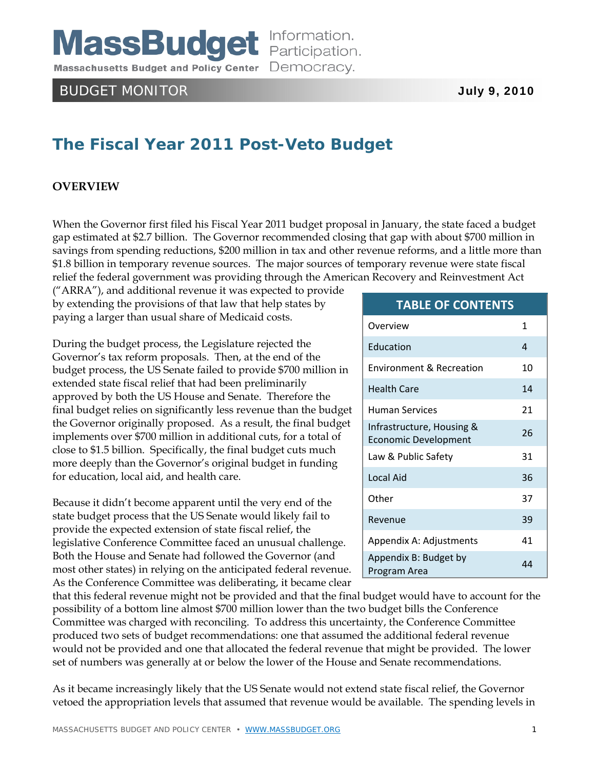**MassBudget** Information. Massachusetts Budget and Policy Center Democracy.

# BUDGET MONITOR **July 9, 2010**

# **The Fiscal Year 2011 Post-Veto Budget**

# **OVERVIEW**

When the Governor first filed his Fiscal Year 2011 budget proposal in January, the state faced a budget gap estimated at \$2.7 billion. The Governor recommended closing that gap with about \$700 million in savings from spending reductions, \$200 million in tax and other revenue reforms, and a little more than \$1.8 billion in temporary revenue sources. The major sources of temporary revenue were state fiscal relief the federal government was providing through the American Recovery and Reinvestment Act

("ARRA"), and additional revenue it was expected to provide by extending the provisions of that law that help states by paying a larger than usual share of Medicaid costs.

During the budget process, the Legislature rejected the Governor's tax reform proposals. Then, at the end of the budget process, the US Senate failed to provide \$700 million in extended state fiscal relief that had been preliminarily approved by both the US House and Senate. Therefore the final budget relies on significantly less revenue than the budget the Governor originally proposed. As a result, the final budget implements over \$700 million in additional cuts, for a total of close to \$1.5 billion. Specifically, the final budget cuts much more deeply than the Governor's original budget in funding for education, local aid, and health care.

Because it didn't become apparent until the very end of the state budget process that the US Senate would likely fail to provide the expected extension of state fiscal relief, the legislative Conference Committee faced an unusual challenge. Both the House and Senate had followed the Governor (and most other states) in relying on the anticipated federal revenue. As the Conference Committee was deliberating, it became clear

#### **TABLE OF CONTENTS**

| Overview                                                 | 1  |
|----------------------------------------------------------|----|
| Education                                                | 4  |
| <b>Environment &amp; Recreation</b>                      | 10 |
| <b>Health Care</b>                                       | 14 |
| <b>Human Services</b>                                    | 21 |
| Infrastructure, Housing &<br><b>Economic Development</b> | 26 |
| Law & Public Safety                                      | 31 |
| Local Aid                                                | 36 |
| Other                                                    | 37 |
| Revenue                                                  | 39 |
| Appendix A: Adjustments                                  | 41 |
| Appendix B: Budget by<br>Program Area                    | 44 |

that this federal revenue might not be provided and that the final budget would have to account for the possibility of a bottom line almost \$700 million lower than the two budget bills the Conference Committee was charged with reconciling. To address this uncertainty, the Conference Committee produced two sets of budget recommendations: one that assumed the additional federal revenue would not be provided and one that allocated the federal revenue that might be provided. The lower set of numbers was generally at or below the lower of the House and Senate recommendations.

As it became increasingly likely that the US Senate would not extend state fiscal relief, the Governor vetoed the appropriation levels that assumed that revenue would be available. The spending levels in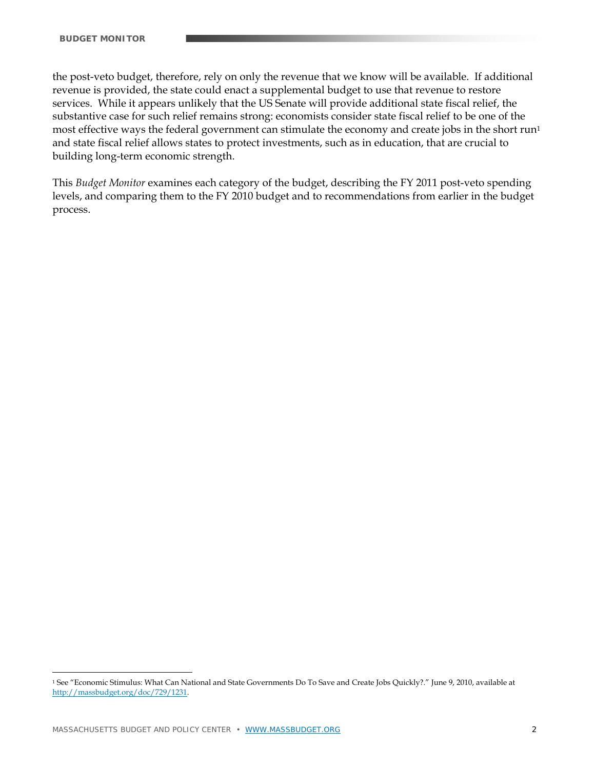the post-veto budget, therefore, rely on only the revenue that we know will be available. If additional revenue is provided, the state could enact a supplemental budget to use that revenue to restore services. While it appears unlikely that the US Senate will provide additional state fiscal relief, the substantive case for such relief remains strong: economists consider state fiscal relief to be one of the most effective ways the federal government can stimulate the economy and create jobs in the short run<sup>1</sup> and state fiscal relief allows states to protect investments, such as in education, that are crucial to building long-term economic strength.

This *Budget Monitor* examines each category of the budget, describing the FY 2011 post-veto spending levels, and comparing them to the FY 2010 budget and to recommendations from earlier in the budget process.

 $\overline{a}$ 

<sup>1</sup> See "Economic Stimulus: What Can National and State Governments Do To Save and Create Jobs Quickly?." June 9, 2010, available at http://massbudget.org/doc/729/1231.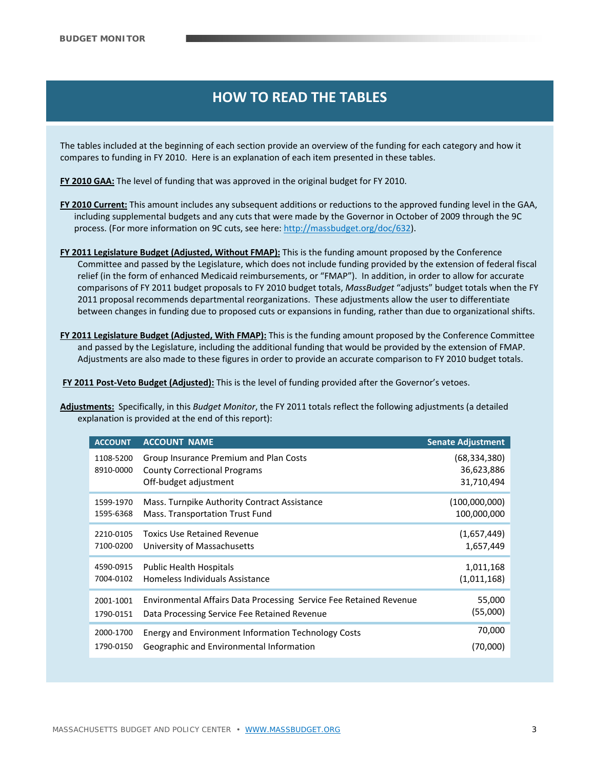# **HOW TO READ THE TABLES HOW TO READ THE TABLES HOW TO READ THE TABLES**

The tables included at the beginning of each section provide an overview of the funding for each category and how it compares to funding in FY 2010. Here is an explanation of each item presented in these tables.

**FY 2010 GAA:** The level of funding that was approved in the original budget for FY 2010.

- **FY 2010 Current:** This amount includes any subsequent additions or reductions to the approved funding level in the GAA, including supplemental budgets and any cuts that were made by the Governor in October of 2009 through the 9C process. (For more information on 9C cuts, see here: http://massbudget.org/doc/632).
- **FY 2011 Legislature Budget (Adjusted, Without FMAP):** This is the funding amount proposed by the Conference Committee and passed by the Legislature, which does not include funding provided by the extension of federal fiscal relief (in the form of enhanced Medicaid reimbursements, or "FMAP"). In addition, in order to allow for accurate comparisons of FY 2011 budget proposals to FY 2010 budget totals, *MassBudget* "adjusts" budget totals when the FY 2011 proposal recommends departmental reorganizations. These adjustments allow the user to differentiate between changes in funding due to proposed cuts or expansions in funding, rather than due to organizational shifts.
- **FY 2011 Legislature Budget (Adjusted, With FMAP):** This is the funding amount proposed by the Conference Committee and passed by the Legislature, including the additional funding that would be provided by the extension of FMAP. Adjustments are also made to these figures in order to provide an accurate comparison to FY 2010 budget totals.

**FY 2011 Post‐Veto Budget (Adjusted):** This is the level of funding provided after the Governor's vetoes.

**Adjustments:** Specifically, in this *Budget Monitor*, the FY 2011 totals reflect the following adjustments (a detailed explanation is provided at the end of this report):

| <b>ACCOUNT</b>         | <b>ACCOUNT NAME</b>                                                                                    | <b>Senate Adjustment</b>                   |
|------------------------|--------------------------------------------------------------------------------------------------------|--------------------------------------------|
| 1108-5200<br>8910-0000 | Group Insurance Premium and Plan Costs<br><b>County Correctional Programs</b><br>Off-budget adjustment | (68, 334, 380)<br>36,623,886<br>31,710,494 |
| 1599-1970              | Mass. Turnpike Authority Contract Assistance                                                           | (100,000,000)                              |
| 1595-6368              | Mass. Transportation Trust Fund                                                                        | 100,000,000                                |
| 2210-0105              | Toxics Use Retained Revenue                                                                            | (1,657,449)                                |
| 7100-0200              | University of Massachusetts                                                                            | 1,657,449                                  |
| 4590-0915              | <b>Public Health Hospitals</b>                                                                         | 1,011,168                                  |
| 7004-0102              | Homeless Individuals Assistance                                                                        | (1,011,168)                                |
| 2001-1001              | Environmental Affairs Data Processing Service Fee Retained Revenue                                     | 55,000                                     |
| 1790-0151              | Data Processing Service Fee Retained Revenue                                                           | (55,000)                                   |
| 2000-1700              | Energy and Environment Information Technology Costs                                                    | 70,000                                     |
| 1790-0150              | Geographic and Environmental Information                                                               | (70,000)                                   |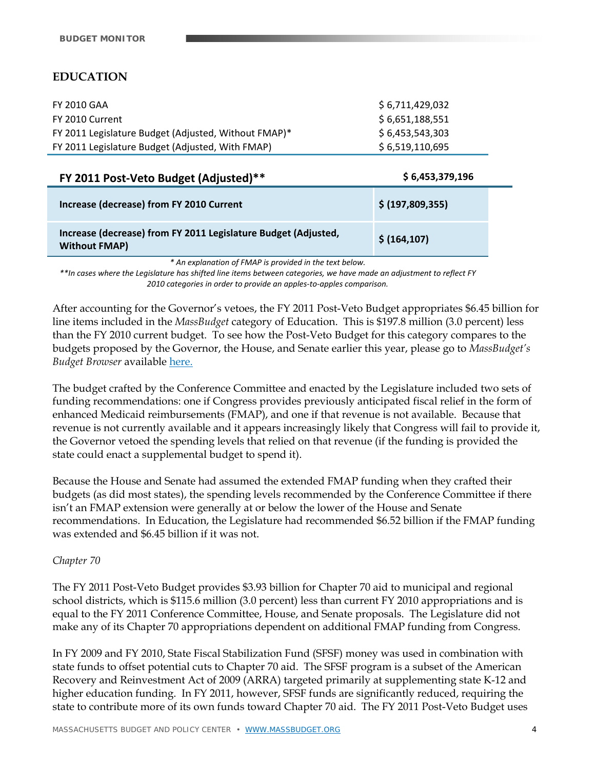# **EDUCATION**

| FY 2010 GAA                                          | \$ 6,711,429,032 |
|------------------------------------------------------|------------------|
| FY 2010 Current                                      | \$6,651,188,551  |
| FY 2011 Legislature Budget (Adjusted, Without FMAP)* | \$6,453,543,303  |
| FY 2011 Legislature Budget (Adjusted, With FMAP)     | \$6,519,110,695  |

| FY 2011 Post-Veto Budget (Adjusted)**                                                  | \$6,453,379,196  |  |
|----------------------------------------------------------------------------------------|------------------|--|
| Increase (decrease) from FY 2010 Current                                               | \$ (197,809,355) |  |
| Increase (decrease) from FY 2011 Legislature Budget (Adjusted,<br><b>Without FMAP)</b> | \$(164, 107)     |  |

*\* An explanation of FMAP is provided in the text below.* 

\*\*In cases where the Legislature has shifted line items between categories, we have made an adjustment to reflect FY *2010 categories in order to provide an apples‐to‐apples comparison.*

After accounting for the Governor's vetoes, the FY 2011 Post-Veto Budget appropriates \$6.45 billion for line items included in the *MassBudget* category of Education. This is \$197.8 million (3.0 percent) less than the FY 2010 current budget. To see how the Post-Veto Budget for this category compares to the budgets proposed by the Governor, the House, and Senate earlier this year, please go to *MassBudget's Budget Browser* available here.

The budget crafted by the Conference Committee and enacted by the Legislature included two sets of funding recommendations: one if Congress provides previously anticipated fiscal relief in the form of enhanced Medicaid reimbursements (FMAP), and one if that revenue is not available. Because that revenue is not currently available and it appears increasingly likely that Congress will fail to provide it, the Governor vetoed the spending levels that relied on that revenue (if the funding is provided the state could enact a supplemental budget to spend it).

Because the House and Senate had assumed the extended FMAP funding when they crafted their budgets (as did most states), the spending levels recommended by the Conference Committee if there isn't an FMAP extension were generally at or below the lower of the House and Senate recommendations. In Education, the Legislature had recommended \$6.52 billion if the FMAP funding was extended and \$6.45 billion if it was not.

# *Chapter 70*

The FY 2011 Post-Veto Budget provides \$3.93 billion for Chapter 70 aid to municipal and regional school districts, which is \$115.6 million (3.0 percent) less than current FY 2010 appropriations and is equal to the FY 2011 Conference Committee, House, and Senate proposals. The Legislature did not make any of its Chapter 70 appropriations dependent on additional FMAP funding from Congress.

In FY 2009 and FY 2010, State Fiscal Stabilization Fund (SFSF) money was used in combination with state funds to offset potential cuts to Chapter 70 aid. The SFSF program is a subset of the American Recovery and Reinvestment Act of 2009 (ARRA) targeted primarily at supplementing state K-12 and higher education funding. In FY 2011, however, SFSF funds are significantly reduced, requiring the state to contribute more of its own funds toward Chapter 70 aid. The FY 2011 Post-Veto Budget uses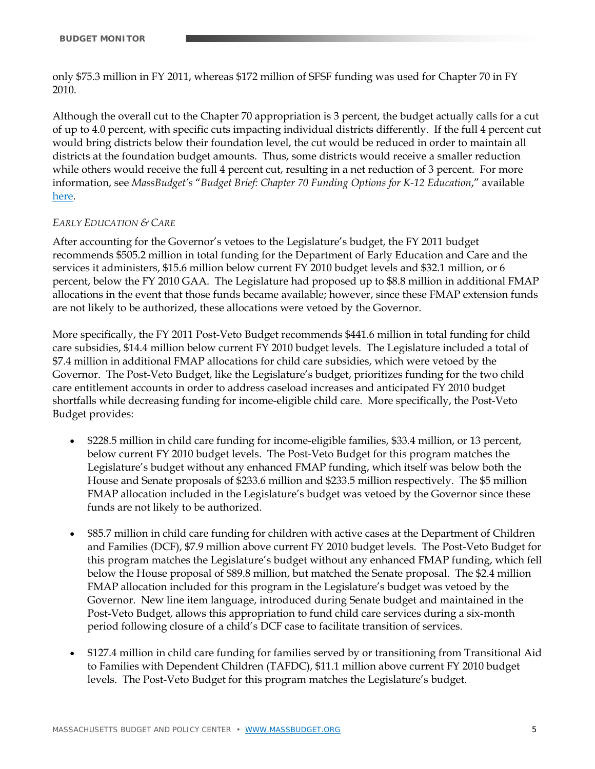only \$75.3 million in FY 2011, whereas \$172 million of SFSF funding was used for Chapter 70 in FY 2010.

Although the overall cut to the Chapter 70 appropriation is 3 percent, the budget actually calls for a cut of up to 4.0 percent, with specific cuts impacting individual districts differently. If the full 4 percent cut would bring districts below their foundation level, the cut would be reduced in order to maintain all districts at the foundation budget amounts. Thus, some districts would receive a smaller reduction while others would receive the full 4 percent cut, resulting in a net reduction of 3 percent. For more information, see *MassBudget's* "*Budget Brief: Chapter 70 Funding Options for K-12 Education*," available here.

#### *EARLY EDUCATION & CARE*

After accounting for the Governor's vetoes to the Legislature's budget, the FY 2011 budget recommends \$505.2 million in total funding for the Department of Early Education and Care and the services it administers, \$15.6 million below current FY 2010 budget levels and \$32.1 million, or 6 percent, below the FY 2010 GAA. The Legislature had proposed up to \$8.8 million in additional FMAP allocations in the event that those funds became available; however, since these FMAP extension funds are not likely to be authorized, these allocations were vetoed by the Governor.

More specifically, the FY 2011 Post-Veto Budget recommends \$441.6 million in total funding for child care subsidies, \$14.4 million below current FY 2010 budget levels. The Legislature included a total of \$7.4 million in additional FMAP allocations for child care subsidies, which were vetoed by the Governor. The Post-Veto Budget, like the Legislature's budget, prioritizes funding for the two child care entitlement accounts in order to address caseload increases and anticipated FY 2010 budget shortfalls while decreasing funding for income-eligible child care. More specifically, the Post-Veto Budget provides:

- \$228.5 million in child care funding for income-eligible families, \$33.4 million, or 13 percent, below current FY 2010 budget levels. The Post-Veto Budget for this program matches the Legislature's budget without any enhanced FMAP funding, which itself was below both the House and Senate proposals of \$233.6 million and \$233.5 million respectively. The \$5 million FMAP allocation included in the Legislature's budget was vetoed by the Governor since these funds are not likely to be authorized.
- \$85.7 million in child care funding for children with active cases at the Department of Children and Families (DCF), \$7.9 million above current FY 2010 budget levels. The Post-Veto Budget for this program matches the Legislature's budget without any enhanced FMAP funding, which fell below the House proposal of \$89.8 million, but matched the Senate proposal. The \$2.4 million FMAP allocation included for this program in the Legislature's budget was vetoed by the Governor. New line item language, introduced during Senate budget and maintained in the Post-Veto Budget, allows this appropriation to fund child care services during a six-month period following closure of a child's DCF case to facilitate transition of services.
- \$127.4 million in child care funding for families served by or transitioning from Transitional Aid to Families with Dependent Children (TAFDC), \$11.1 million above current FY 2010 budget levels. The Post-Veto Budget for this program matches the Legislature's budget.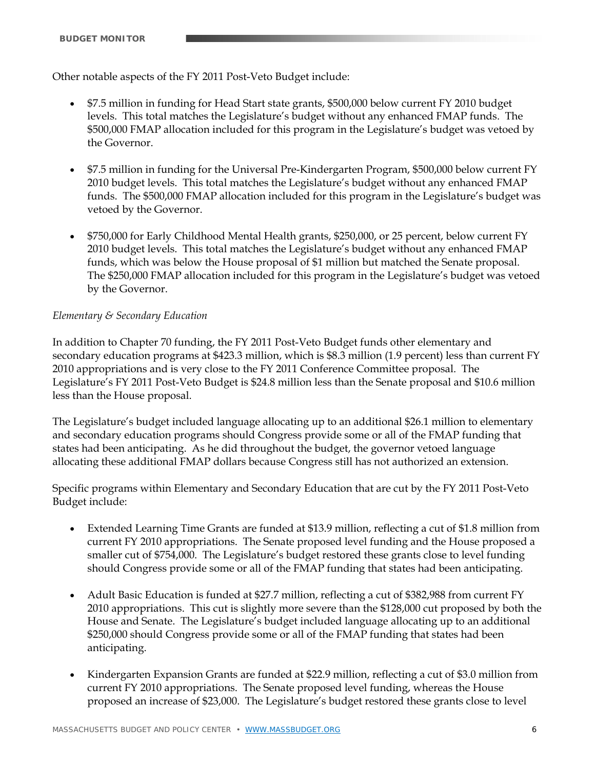Other notable aspects of the FY 2011 Post-Veto Budget include:

- \$7.5 million in funding for Head Start state grants, \$500,000 below current FY 2010 budget levels. This total matches the Legislature's budget without any enhanced FMAP funds. The \$500,000 FMAP allocation included for this program in the Legislature's budget was vetoed by the Governor.
- \$7.5 million in funding for the Universal Pre-Kindergarten Program, \$500,000 below current FY 2010 budget levels. This total matches the Legislature's budget without any enhanced FMAP funds. The \$500,000 FMAP allocation included for this program in the Legislature's budget was vetoed by the Governor.
- \$750,000 for Early Childhood Mental Health grants, \$250,000, or 25 percent, below current FY 2010 budget levels. This total matches the Legislature's budget without any enhanced FMAP funds, which was below the House proposal of \$1 million but matched the Senate proposal. The \$250,000 FMAP allocation included for this program in the Legislature's budget was vetoed by the Governor.

# *Elementary & Secondary Education*

In addition to Chapter 70 funding, the FY 2011 Post-Veto Budget funds other elementary and secondary education programs at \$423.3 million, which is \$8.3 million (1.9 percent) less than current FY 2010 appropriations and is very close to the FY 2011 Conference Committee proposal. The Legislature's FY 2011 Post-Veto Budget is \$24.8 million less than the Senate proposal and \$10.6 million less than the House proposal.

The Legislature's budget included language allocating up to an additional \$26.1 million to elementary and secondary education programs should Congress provide some or all of the FMAP funding that states had been anticipating. As he did throughout the budget, the governor vetoed language allocating these additional FMAP dollars because Congress still has not authorized an extension.

Specific programs within Elementary and Secondary Education that are cut by the FY 2011 Post-Veto Budget include:

- Extended Learning Time Grants are funded at \$13.9 million, reflecting a cut of \$1.8 million from current FY 2010 appropriations. The Senate proposed level funding and the House proposed a smaller cut of \$754,000. The Legislature's budget restored these grants close to level funding should Congress provide some or all of the FMAP funding that states had been anticipating.
- Adult Basic Education is funded at \$27.7 million, reflecting a cut of \$382,988 from current FY 2010 appropriations. This cut is slightly more severe than the \$128,000 cut proposed by both the House and Senate. The Legislature's budget included language allocating up to an additional \$250,000 should Congress provide some or all of the FMAP funding that states had been anticipating.
- Kindergarten Expansion Grants are funded at \$22.9 million, reflecting a cut of \$3.0 million from current FY 2010 appropriations. The Senate proposed level funding, whereas the House proposed an increase of \$23,000. The Legislature's budget restored these grants close to level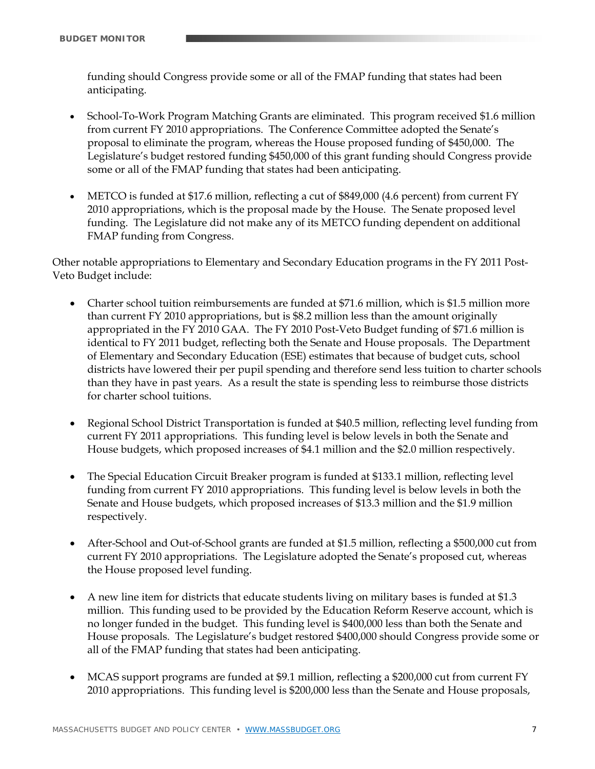funding should Congress provide some or all of the FMAP funding that states had been anticipating.

- School-To-Work Program Matching Grants are eliminated. This program received \$1.6 million from current FY 2010 appropriations. The Conference Committee adopted the Senate's proposal to eliminate the program, whereas the House proposed funding of \$450,000. The Legislature's budget restored funding \$450,000 of this grant funding should Congress provide some or all of the FMAP funding that states had been anticipating.
- METCO is funded at \$17.6 million, reflecting a cut of \$849,000 (4.6 percent) from current FY 2010 appropriations, which is the proposal made by the House. The Senate proposed level funding. The Legislature did not make any of its METCO funding dependent on additional FMAP funding from Congress.

Other notable appropriations to Elementary and Secondary Education programs in the FY 2011 Post-Veto Budget include:

- Charter school tuition reimbursements are funded at \$71.6 million, which is \$1.5 million more than current FY 2010 appropriations, but is \$8.2 million less than the amount originally appropriated in the FY 2010 GAA. The FY 2010 Post-Veto Budget funding of \$71.6 million is identical to FY 2011 budget, reflecting both the Senate and House proposals. The Department of Elementary and Secondary Education (ESE) estimates that because of budget cuts, school districts have lowered their per pupil spending and therefore send less tuition to charter schools than they have in past years. As a result the state is spending less to reimburse those districts for charter school tuitions.
- Regional School District Transportation is funded at \$40.5 million, reflecting level funding from current FY 2011 appropriations. This funding level is below levels in both the Senate and House budgets, which proposed increases of \$4.1 million and the \$2.0 million respectively.
- The Special Education Circuit Breaker program is funded at \$133.1 million, reflecting level funding from current FY 2010 appropriations. This funding level is below levels in both the Senate and House budgets, which proposed increases of \$13.3 million and the \$1.9 million respectively.
- After-School and Out-of-School grants are funded at \$1.5 million, reflecting a \$500,000 cut from current FY 2010 appropriations. The Legislature adopted the Senate's proposed cut, whereas the House proposed level funding.
- A new line item for districts that educate students living on military bases is funded at \$1.3 million. This funding used to be provided by the Education Reform Reserve account, which is no longer funded in the budget. This funding level is \$400,000 less than both the Senate and House proposals. The Legislature's budget restored \$400,000 should Congress provide some or all of the FMAP funding that states had been anticipating.
- MCAS support programs are funded at \$9.1 million, reflecting a \$200,000 cut from current FY 2010 appropriations. This funding level is \$200,000 less than the Senate and House proposals,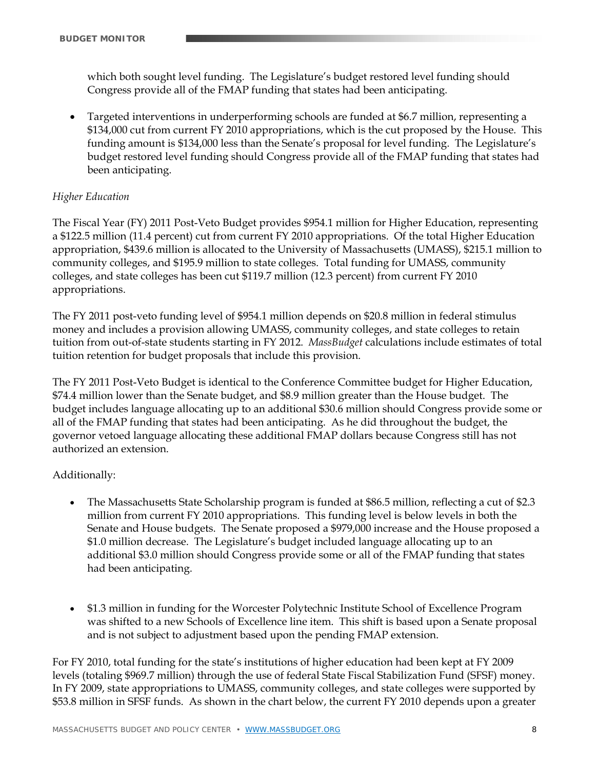which both sought level funding. The Legislature's budget restored level funding should Congress provide all of the FMAP funding that states had been anticipating.

 Targeted interventions in underperforming schools are funded at \$6.7 million, representing a \$134,000 cut from current FY 2010 appropriations, which is the cut proposed by the House. This funding amount is \$134,000 less than the Senate's proposal for level funding. The Legislature's budget restored level funding should Congress provide all of the FMAP funding that states had been anticipating.

# *Higher Education*

The Fiscal Year (FY) 2011 Post-Veto Budget provides \$954.1 million for Higher Education, representing a \$122.5 million (11.4 percent) cut from current FY 2010 appropriations. Of the total Higher Education appropriation, \$439.6 million is allocated to the University of Massachusetts (UMASS), \$215.1 million to community colleges, and \$195.9 million to state colleges. Total funding for UMASS, community colleges, and state colleges has been cut \$119.7 million (12.3 percent) from current FY 2010 appropriations.

The FY 2011 post-veto funding level of \$954.1 million depends on \$20.8 million in federal stimulus money and includes a provision allowing UMASS, community colleges, and state colleges to retain tuition from out-of-state students starting in FY 2012. *MassBudget* calculations include estimates of total tuition retention for budget proposals that include this provision.

The FY 2011 Post-Veto Budget is identical to the Conference Committee budget for Higher Education, \$74.4 million lower than the Senate budget, and \$8.9 million greater than the House budget. The budget includes language allocating up to an additional \$30.6 million should Congress provide some or all of the FMAP funding that states had been anticipating. As he did throughout the budget, the governor vetoed language allocating these additional FMAP dollars because Congress still has not authorized an extension.

# Additionally:

- The Massachusetts State Scholarship program is funded at \$86.5 million, reflecting a cut of \$2.3 million from current FY 2010 appropriations. This funding level is below levels in both the Senate and House budgets. The Senate proposed a \$979,000 increase and the House proposed a \$1.0 million decrease. The Legislature's budget included language allocating up to an additional \$3.0 million should Congress provide some or all of the FMAP funding that states had been anticipating.
- \$1.3 million in funding for the Worcester Polytechnic Institute School of Excellence Program was shifted to a new Schools of Excellence line item. This shift is based upon a Senate proposal and is not subject to adjustment based upon the pending FMAP extension.

For FY 2010, total funding for the state's institutions of higher education had been kept at FY 2009 levels (totaling \$969.7 million) through the use of federal State Fiscal Stabilization Fund (SFSF) money. In FY 2009, state appropriations to UMASS, community colleges, and state colleges were supported by \$53.8 million in SFSF funds. As shown in the chart below, the current FY 2010 depends upon a greater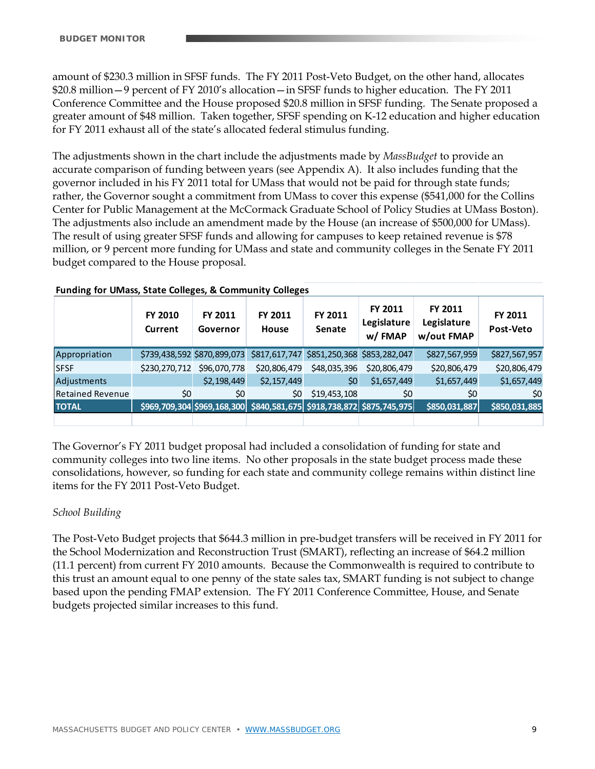amount of \$230.3 million in SFSF funds. The FY 2011 Post-Veto Budget, on the other hand, allocates \$20.8 million—9 percent of FY 2010's allocation—in SFSF funds to higher education. The FY 2011 Conference Committee and the House proposed \$20.8 million in SFSF funding. The Senate proposed a greater amount of \$48 million. Taken together, SFSF spending on K-12 education and higher education for FY 2011 exhaust all of the state's allocated federal stimulus funding.

The adjustments shown in the chart include the adjustments made by *MassBudget* to provide an accurate comparison of funding between years (see Appendix A). It also includes funding that the governor included in his FY 2011 total for UMass that would not be paid for through state funds; rather, the Governor sought a commitment from UMass to cover this expense (\$541,000 for the Collins Center for Public Management at the McCormack Graduate School of Policy Studies at UMass Boston). The adjustments also include an amendment made by the House (an increase of \$500,000 for UMass). The result of using greater SFSF funds and allowing for campuses to keep retained revenue is \$78 million, or 9 percent more funding for UMass and state and community colleges in the Senate FY 2011 budget compared to the House proposal.

|                         | FY 2010<br>Current | FY 2011<br>Governor         | FY 2011<br>House                                                      | FY 2011<br>Senate                         | FY 2011<br>Legislature<br>w/FMAP | FY 2011<br>Legislature<br>w/out FMAP | FY 2011<br>Post-Veto |
|-------------------------|--------------------|-----------------------------|-----------------------------------------------------------------------|-------------------------------------------|----------------------------------|--------------------------------------|----------------------|
| Appropriation           |                    | \$739,438,592 \$870,899,073 |                                                                       | \$817,617,747 \$851,250,368 \$853,282,047 |                                  | \$827,567,959                        | \$827,567,957        |
| <b>SFSF</b>             |                    | \$230,270,712 \$96,070,778  | \$20,806,479                                                          | \$48,035,396                              | \$20,806,479                     | \$20,806,479                         | \$20,806,479         |
| Adjustments             |                    | \$2,198,449                 | \$2,157,449                                                           | \$0                                       | \$1,657,449                      | \$1,657,449                          | \$1,657,449          |
| <b>Retained Revenue</b> | \$0                | \$0                         | \$0                                                                   | \$19,453,108                              | \$0                              | \$0                                  | \$0                  |
| <b>TOTAL</b>            |                    |                             | \$969,709,304 \$969,168,300 \$840,581,675 \$918,738,872 \$875,745,975 |                                           |                                  | \$850,031,887                        | \$850,031,885        |
|                         |                    |                             |                                                                       |                                           |                                  |                                      |                      |

#### **Funding for UMass, State Colleges, & Community Colleges**

The Governor's FY 2011 budget proposal had included a consolidation of funding for state and community colleges into two line items. No other proposals in the state budget process made these consolidations, however, so funding for each state and community college remains within distinct line items for the FY 2011 Post-Veto Budget.

# *School Building*

The Post-Veto Budget projects that \$644.3 million in pre-budget transfers will be received in FY 2011 for the School Modernization and Reconstruction Trust (SMART), reflecting an increase of \$64.2 million (11.1 percent) from current FY 2010 amounts. Because the Commonwealth is required to contribute to this trust an amount equal to one penny of the state sales tax, SMART funding is not subject to change based upon the pending FMAP extension. The FY 2011 Conference Committee, House, and Senate budgets projected similar increases to this fund.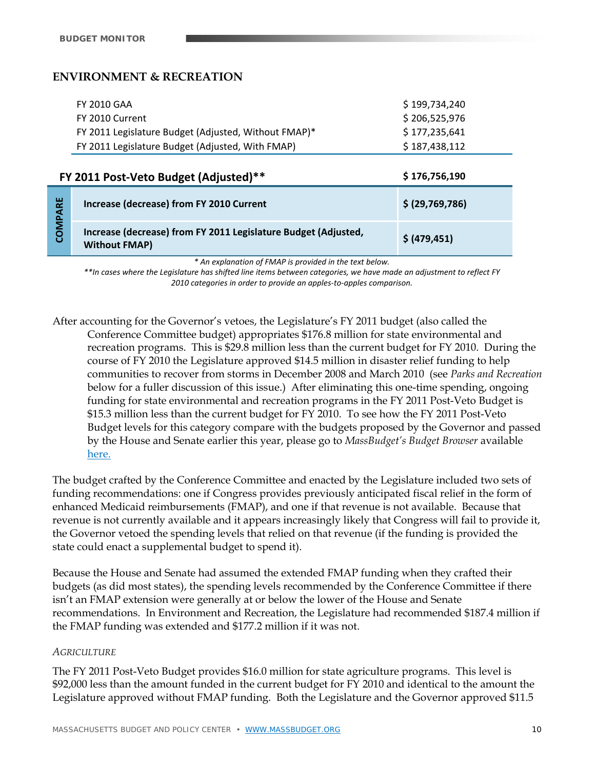# **ENVIRONMENT & RECREATION**

| FY 2010 GAA                                          | \$199.734.240 |
|------------------------------------------------------|---------------|
| FY 2010 Current                                      | \$206.525.976 |
| FY 2011 Legislature Budget (Adjusted, Without FMAP)* | \$177,235,641 |
| FY 2011 Legislature Budget (Adjusted, With FMAP)     | \$187,438,112 |

# **FY 2011 Post‐Veto Budget (Adjusted)\*\* \$ 176,756,190**

|             | <b>FI ZUII POSL-VELO DUUREL (AUJUSLEU)</b>                                             | <b>7 770,790,790</b> |
|-------------|----------------------------------------------------------------------------------------|----------------------|
| PARE        | Increase (decrease) from FY 2010 Current                                               | \$ (29, 769, 786)    |
| <b>ZOMI</b> | Increase (decrease) from FY 2011 Legislature Budget (Adjusted,<br><b>Without FMAP)</b> | \$ (479, 451)        |

*\* An explanation of FMAP is provided in the text below.* 

\*\*In cases where the Legislature has shifted line items between categories, we have made an adjustment to reflect FY *2010 categories in order to provide an apples‐to‐apples comparison.*

After accounting for the Governor's vetoes, the Legislature's FY 2011 budget (also called the Conference Committee budget) appropriates \$176.8 million for state environmental and recreation programs. This is \$29.8 million less than the current budget for FY 2010. During the course of FY 2010 the Legislature approved \$14.5 million in disaster relief funding to help communities to recover from storms in December 2008 and March 2010 (see *Parks and Recreation* below for a fuller discussion of this issue.) After eliminating this one-time spending, ongoing funding for state environmental and recreation programs in the FY 2011 Post-Veto Budget is \$15.3 million less than the current budget for FY 2010. To see how the FY 2011 Post-Veto Budget levels for this category compare with the budgets proposed by the Governor and passed by the House and Senate earlier this year, please go to *MassBudget's Budget Browser* available here.

The budget crafted by the Conference Committee and enacted by the Legislature included two sets of funding recommendations: one if Congress provides previously anticipated fiscal relief in the form of enhanced Medicaid reimbursements (FMAP), and one if that revenue is not available. Because that revenue is not currently available and it appears increasingly likely that Congress will fail to provide it, the Governor vetoed the spending levels that relied on that revenue (if the funding is provided the state could enact a supplemental budget to spend it).

Because the House and Senate had assumed the extended FMAP funding when they crafted their budgets (as did most states), the spending levels recommended by the Conference Committee if there isn't an FMAP extension were generally at or below the lower of the House and Senate recommendations. In Environment and Recreation, the Legislature had recommended \$187.4 million if the FMAP funding was extended and \$177.2 million if it was not.

#### *AGRICULTURE*

The FY 2011 Post-Veto Budget provides \$16.0 million for state agriculture programs. This level is \$92,000 less than the amount funded in the current budget for FY 2010 and identical to the amount the Legislature approved without FMAP funding. Both the Legislature and the Governor approved \$11.5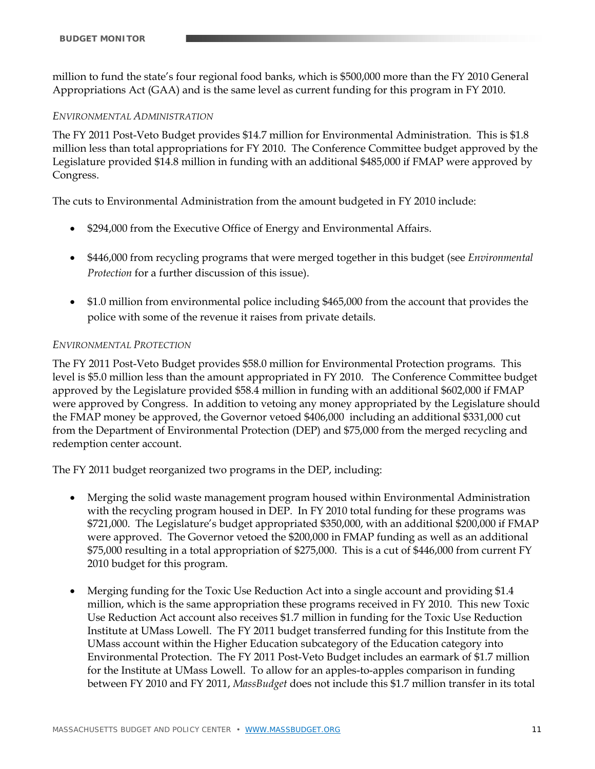million to fund the state's four regional food banks, which is \$500,000 more than the FY 2010 General Appropriations Act (GAA) and is the same level as current funding for this program in FY 2010.

#### *ENVIRONMENTAL ADMINISTRATION*

The FY 2011 Post-Veto Budget provides \$14.7 million for Environmental Administration. This is \$1.8 million less than total appropriations for FY 2010. The Conference Committee budget approved by the Legislature provided \$14.8 million in funding with an additional \$485,000 if FMAP were approved by Congress.

The cuts to Environmental Administration from the amount budgeted in FY 2010 include:

- \$294,000 from the Executive Office of Energy and Environmental Affairs.
- \$446,000 from recycling programs that were merged together in this budget (see *Environmental Protection* for a further discussion of this issue).
- \$1.0 million from environmental police including \$465,000 from the account that provides the police with some of the revenue it raises from private details.

# *ENVIRONMENTAL PROTECTION*

The FY 2011 Post-Veto Budget provides \$58.0 million for Environmental Protection programs. This level is \$5.0 million less than the amount appropriated in FY 2010. The Conference Committee budget approved by the Legislature provided \$58.4 million in funding with an additional \$602,000 if FMAP were approved by Congress. In addition to vetoing any money appropriated by the Legislature should the FMAP money be approved, the Governor vetoed \$406,000 including an additional \$331,000 cut from the Department of Environmental Protection (DEP) and \$75,000 from the merged recycling and redemption center account.

The FY 2011 budget reorganized two programs in the DEP, including:

- Merging the solid waste management program housed within Environmental Administration with the recycling program housed in DEP. In FY 2010 total funding for these programs was \$721,000. The Legislature's budget appropriated \$350,000, with an additional \$200,000 if FMAP were approved. The Governor vetoed the \$200,000 in FMAP funding as well as an additional \$75,000 resulting in a total appropriation of \$275,000. This is a cut of \$446,000 from current FY 2010 budget for this program.
- Merging funding for the Toxic Use Reduction Act into a single account and providing \$1.4 million, which is the same appropriation these programs received in FY 2010. This new Toxic Use Reduction Act account also receives \$1.7 million in funding for the Toxic Use Reduction Institute at UMass Lowell. The FY 2011 budget transferred funding for this Institute from the UMass account within the Higher Education subcategory of the Education category into Environmental Protection. The FY 2011 Post-Veto Budget includes an earmark of \$1.7 million for the Institute at UMass Lowell. To allow for an apples-to-apples comparison in funding between FY 2010 and FY 2011, *MassBudget* does not include this \$1.7 million transfer in its total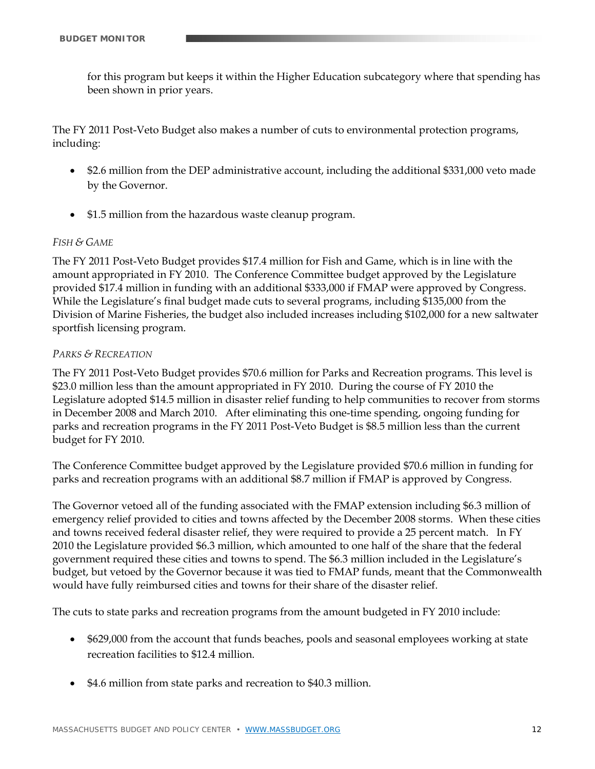for this program but keeps it within the Higher Education subcategory where that spending has been shown in prior years.

The FY 2011 Post-Veto Budget also makes a number of cuts to environmental protection programs, including:

- \$2.6 million from the DEP administrative account, including the additional \$331,000 veto made by the Governor.
- \$1.5 million from the hazardous waste cleanup program.

# *FISH & GAME*

The FY 2011 Post-Veto Budget provides \$17.4 million for Fish and Game, which is in line with the amount appropriated in FY 2010. The Conference Committee budget approved by the Legislature provided \$17.4 million in funding with an additional \$333,000 if FMAP were approved by Congress. While the Legislature's final budget made cuts to several programs, including \$135,000 from the Division of Marine Fisheries, the budget also included increases including \$102,000 for a new saltwater sportfish licensing program.

#### *PARKS & RECREATION*

The FY 2011 Post-Veto Budget provides \$70.6 million for Parks and Recreation programs. This level is \$23.0 million less than the amount appropriated in FY 2010. During the course of FY 2010 the Legislature adopted \$14.5 million in disaster relief funding to help communities to recover from storms in December 2008 and March 2010. After eliminating this one-time spending, ongoing funding for parks and recreation programs in the FY 2011 Post-Veto Budget is \$8.5 million less than the current budget for FY 2010.

The Conference Committee budget approved by the Legislature provided \$70.6 million in funding for parks and recreation programs with an additional \$8.7 million if FMAP is approved by Congress.

The Governor vetoed all of the funding associated with the FMAP extension including \$6.3 million of emergency relief provided to cities and towns affected by the December 2008 storms. When these cities and towns received federal disaster relief, they were required to provide a 25 percent match. In FY 2010 the Legislature provided \$6.3 million, which amounted to one half of the share that the federal government required these cities and towns to spend. The \$6.3 million included in the Legislature's budget, but vetoed by the Governor because it was tied to FMAP funds, meant that the Commonwealth would have fully reimbursed cities and towns for their share of the disaster relief.

The cuts to state parks and recreation programs from the amount budgeted in FY 2010 include:

- \$629,000 from the account that funds beaches, pools and seasonal employees working at state recreation facilities to \$12.4 million.
- \$4.6 million from state parks and recreation to \$40.3 million.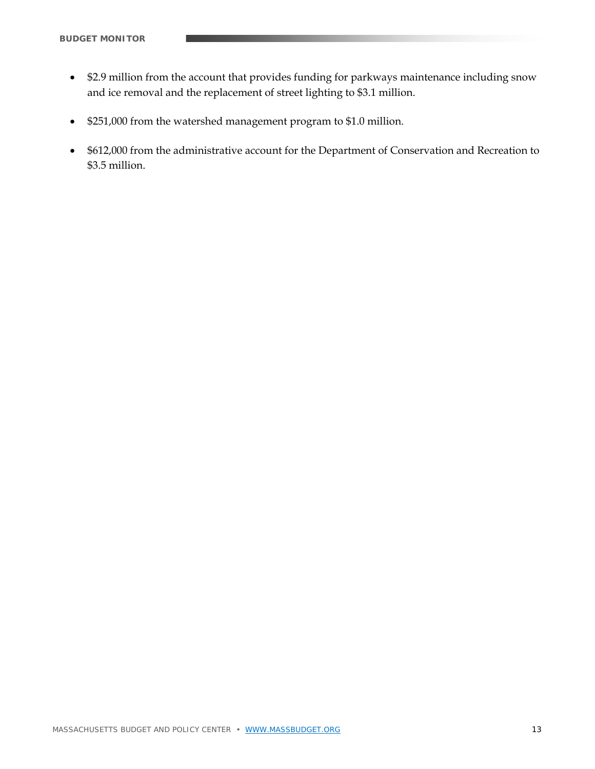- \$2.9 million from the account that provides funding for parkways maintenance including snow and ice removal and the replacement of street lighting to \$3.1 million.
- \$251,000 from the watershed management program to \$1.0 million.
- \$612,000 from the administrative account for the Department of Conservation and Recreation to \$3.5 million.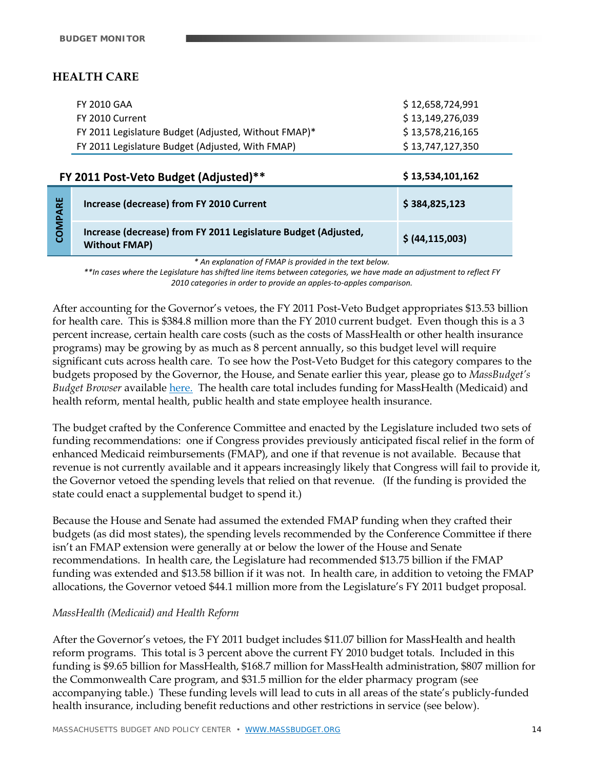# **HEALTH CARE**

| FY 2010 GAA                                          | \$12,658,724,991 |
|------------------------------------------------------|------------------|
| FY 2010 Current                                      | \$13,149,276,039 |
| FY 2011 Legislature Budget (Adjusted, Without FMAP)* | \$13,578,216,165 |
| FY 2011 Legislature Budget (Adjusted, With FMAP)     | \$13,747,127,350 |

|      | FY 2011 Post-Veto Budget (Adjusted)**                                                  | \$13,534,101,162  |
|------|----------------------------------------------------------------------------------------|-------------------|
| PARE | Increase (decrease) from FY 2010 Current                                               | \$384,825,123     |
| COM  | Increase (decrease) from FY 2011 Legislature Budget (Adjusted,<br><b>Without FMAP)</b> | \$ (44, 115, 003) |

*\* An explanation of FMAP is provided in the text below.* 

\*\*In cases where the Legislature has shifted line items between categories, we have made an adjustment to reflect FY *2010 categories in order to provide an apples‐to‐apples comparison.*

After accounting for the Governor's vetoes, the FY 2011 Post-Veto Budget appropriates \$13.53 billion for health care. This is \$384.8 million more than the FY 2010 current budget. Even though this is a 3 percent increase, certain health care costs (such as the costs of MassHealth or other health insurance programs) may be growing by as much as 8 percent annually, so this budget level will require significant cuts across health care. To see how the Post-Veto Budget for this category compares to the budgets proposed by the Governor, the House, and Senate earlier this year, please go to *MassBudget's Budget Browser* available here. The health care total includes funding for MassHealth (Medicaid) and health reform, mental health, public health and state employee health insurance.

The budget crafted by the Conference Committee and enacted by the Legislature included two sets of funding recommendations: one if Congress provides previously anticipated fiscal relief in the form of enhanced Medicaid reimbursements (FMAP), and one if that revenue is not available. Because that revenue is not currently available and it appears increasingly likely that Congress will fail to provide it, the Governor vetoed the spending levels that relied on that revenue. (If the funding is provided the state could enact a supplemental budget to spend it.)

Because the House and Senate had assumed the extended FMAP funding when they crafted their budgets (as did most states), the spending levels recommended by the Conference Committee if there isn't an FMAP extension were generally at or below the lower of the House and Senate recommendations. In health care, the Legislature had recommended \$13.75 billion if the FMAP funding was extended and \$13.58 billion if it was not. In health care, in addition to vetoing the FMAP allocations, the Governor vetoed \$44.1 million more from the Legislature's FY 2011 budget proposal.

# *MassHealth (Medicaid) and Health Reform*

After the Governor's vetoes, the FY 2011 budget includes \$11.07 billion for MassHealth and health reform programs. This total is 3 percent above the current FY 2010 budget totals. Included in this funding is \$9.65 billion for MassHealth, \$168.7 million for MassHealth administration, \$807 million for the Commonwealth Care program, and \$31.5 million for the elder pharmacy program (see accompanying table.) These funding levels will lead to cuts in all areas of the state's publicly-funded health insurance, including benefit reductions and other restrictions in service (see below).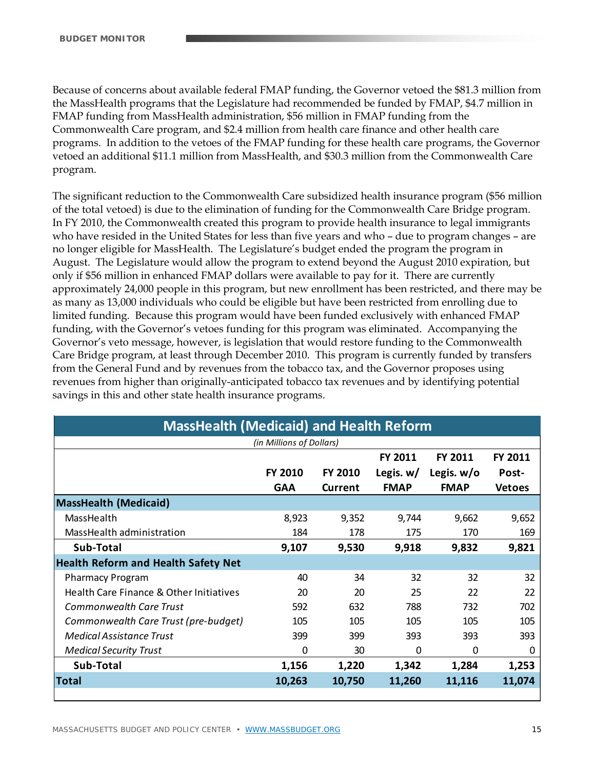Because of concerns about available federal FMAP funding, the Governor vetoed the \$81.3 million from the MassHealth programs that the Legislature had recommended be funded by FMAP, \$4.7 million in FMAP funding from MassHealth administration, \$56 million in FMAP funding from the Commonwealth Care program, and \$2.4 million from health care finance and other health care programs. In addition to the vetoes of the FMAP funding for these health care programs, the Governor vetoed an additional \$11.1 million from MassHealth, and \$30.3 million from the Commonwealth Care program.

The significant reduction to the Commonwealth Care subsidized health insurance program (\$56 million of the total vetoed) is due to the elimination of funding for the Commonwealth Care Bridge program. In FY 2010, the Commonwealth created this program to provide health insurance to legal immigrants who have resided in the United States for less than five years and who – due to program changes – are no longer eligible for MassHealth. The Legislature's budget ended the program the program in August. The Legislature would allow the program to extend beyond the August 2010 expiration, but only if \$56 million in enhanced FMAP dollars were available to pay for it. There are currently approximately 24,000 people in this program, but new enrollment has been restricted, and there may be as many as 13,000 individuals who could be eligible but have been restricted from enrolling due to limited funding. Because this program would have been funded exclusively with enhanced FMAP funding, with the Governor's vetoes funding for this program was eliminated. Accompanying the Governor's veto message, however, is legislation that would restore funding to the Commonwealth Care Bridge program, at least through December 2010. This program is currently funded by transfers from the General Fund and by revenues from the tobacco tax, and the Governor proposes using revenues from higher than originally-anticipated tobacco tax revenues and by identifying potential savings in this and other state health insurance programs.

| <b>MassHealth (Medicaid) and Health Reform</b> |                          |                |             |                |               |
|------------------------------------------------|--------------------------|----------------|-------------|----------------|---------------|
|                                                | (in Millions of Dollars) |                |             |                |               |
|                                                |                          |                | FY 2011     | <b>FY 2011</b> | FY 2011       |
|                                                | FY 2010                  | <b>FY 2010</b> | Legis. $w/$ | Legis. $w/o$   | Post-         |
|                                                | <b>GAA</b>               | Current        | <b>FMAP</b> | <b>FMAP</b>    | <b>Vetoes</b> |
| <b>MassHealth (Medicaid)</b>                   |                          |                |             |                |               |
| MassHealth                                     | 8,923                    | 9,352          | 9,744       | 9,662          | 9,652         |
| MassHealth administration                      | 184                      | 178            | 175         | 170            | 169           |
| Sub-Total                                      | 9,107                    | 9,530          | 9,918       | 9,832          | 9,821         |
| <b>Health Reform and Health Safety Net</b>     |                          |                |             |                |               |
| <b>Pharmacy Program</b>                        | 40                       | 34             | 32          | 32             | 32            |
| Health Care Finance & Other Initiatives        | 20                       | 20             | 25          | 22             | 22            |
| Commonwealth Care Trust                        | 592                      | 632            | 788         | 732            | 702           |
| Commonwealth Care Trust (pre-budget)           | 105                      | 105            | 105         | 105            | 105           |
| <b>Medical Assistance Trust</b>                | 399                      | 399            | 393         | 393            | 393           |
| <b>Medical Security Trust</b>                  | 0                        | 30             | 0           | 0              | 0             |
| Sub-Total                                      | 1,156                    | 1,220          | 1,342       | 1,284          | 1,253         |
| <b>Total</b>                                   | 10,263                   | 10,750         | 11,260      | 11,116         | 11,074        |
|                                                |                          |                |             |                |               |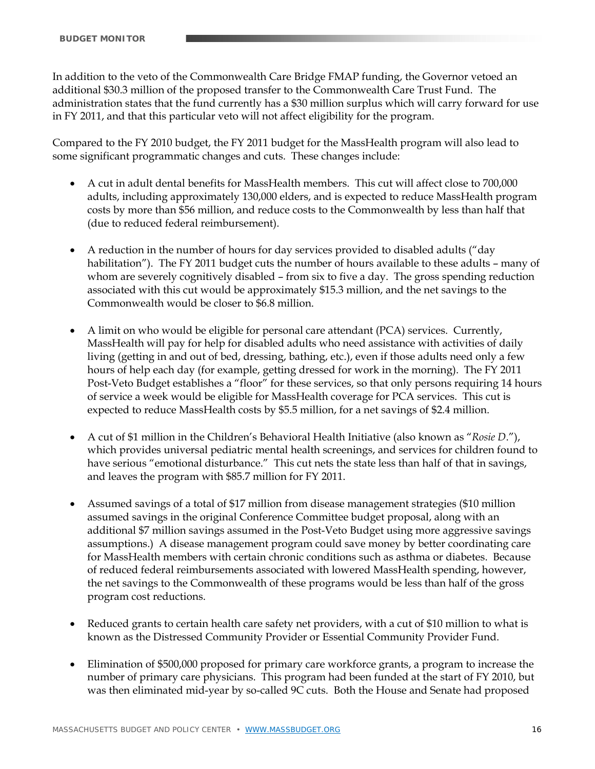In addition to the veto of the Commonwealth Care Bridge FMAP funding, the Governor vetoed an additional \$30.3 million of the proposed transfer to the Commonwealth Care Trust Fund. The administration states that the fund currently has a \$30 million surplus which will carry forward for use in FY 2011, and that this particular veto will not affect eligibility for the program.

Compared to the FY 2010 budget, the FY 2011 budget for the MassHealth program will also lead to some significant programmatic changes and cuts. These changes include:

- A cut in adult dental benefits for MassHealth members. This cut will affect close to 700,000 adults, including approximately 130,000 elders, and is expected to reduce MassHealth program costs by more than \$56 million, and reduce costs to the Commonwealth by less than half that (due to reduced federal reimbursement).
- A reduction in the number of hours for day services provided to disabled adults ("day habilitation"). The FY 2011 budget cuts the number of hours available to these adults – many of whom are severely cognitively disabled – from six to five a day. The gross spending reduction associated with this cut would be approximately \$15.3 million, and the net savings to the Commonwealth would be closer to \$6.8 million.
- A limit on who would be eligible for personal care attendant (PCA) services. Currently, MassHealth will pay for help for disabled adults who need assistance with activities of daily living (getting in and out of bed, dressing, bathing, etc.), even if those adults need only a few hours of help each day (for example, getting dressed for work in the morning). The FY 2011 Post-Veto Budget establishes a "floor" for these services, so that only persons requiring 14 hours of service a week would be eligible for MassHealth coverage for PCA services. This cut is expected to reduce MassHealth costs by \$5.5 million, for a net savings of \$2.4 million.
- A cut of \$1 million in the Children's Behavioral Health Initiative (also known as "*Rosie D*."), which provides universal pediatric mental health screenings, and services for children found to have serious "emotional disturbance." This cut nets the state less than half of that in savings, and leaves the program with \$85.7 million for FY 2011.
- Assumed savings of a total of \$17 million from disease management strategies (\$10 million assumed savings in the original Conference Committee budget proposal, along with an additional \$7 million savings assumed in the Post-Veto Budget using more aggressive savings assumptions.) A disease management program could save money by better coordinating care for MassHealth members with certain chronic conditions such as asthma or diabetes. Because of reduced federal reimbursements associated with lowered MassHealth spending, however, the net savings to the Commonwealth of these programs would be less than half of the gross program cost reductions.
- Reduced grants to certain health care safety net providers, with a cut of \$10 million to what is known as the Distressed Community Provider or Essential Community Provider Fund.
- Elimination of \$500,000 proposed for primary care workforce grants, a program to increase the number of primary care physicians. This program had been funded at the start of FY 2010, but was then eliminated mid-year by so-called 9C cuts. Both the House and Senate had proposed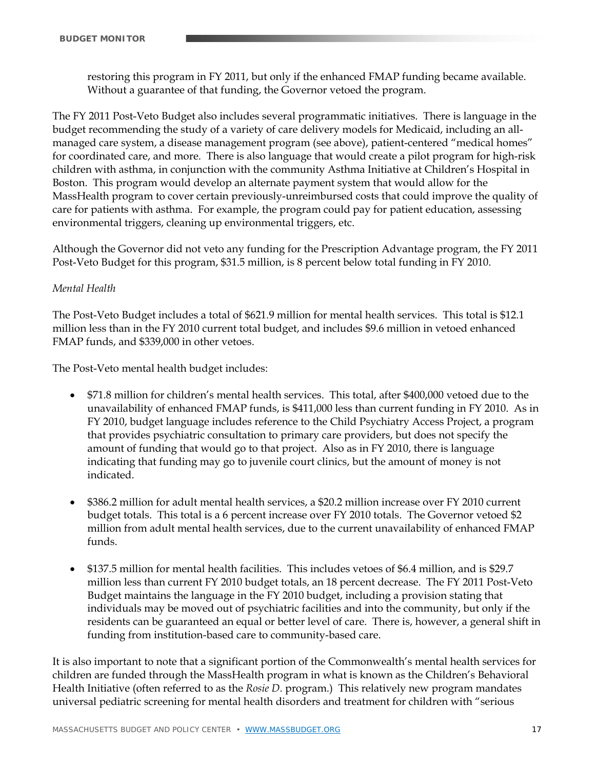restoring this program in FY 2011, but only if the enhanced FMAP funding became available. Without a guarantee of that funding, the Governor vetoed the program.

The FY 2011 Post-Veto Budget also includes several programmatic initiatives. There is language in the budget recommending the study of a variety of care delivery models for Medicaid, including an allmanaged care system, a disease management program (see above), patient-centered "medical homes" for coordinated care, and more. There is also language that would create a pilot program for high-risk children with asthma, in conjunction with the community Asthma Initiative at Children's Hospital in Boston. This program would develop an alternate payment system that would allow for the MassHealth program to cover certain previously-unreimbursed costs that could improve the quality of care for patients with asthma. For example, the program could pay for patient education, assessing environmental triggers, cleaning up environmental triggers, etc.

Although the Governor did not veto any funding for the Prescription Advantage program, the FY 2011 Post-Veto Budget for this program, \$31.5 million, is 8 percent below total funding in FY 2010.

# *Mental Health*

The Post-Veto Budget includes a total of \$621.9 million for mental health services. This total is \$12.1 million less than in the FY 2010 current total budget, and includes \$9.6 million in vetoed enhanced FMAP funds, and \$339,000 in other vetoes.

The Post-Veto mental health budget includes:

- \$71.8 million for children's mental health services. This total, after \$400,000 vetoed due to the unavailability of enhanced FMAP funds, is \$411,000 less than current funding in FY 2010. As in FY 2010, budget language includes reference to the Child Psychiatry Access Project, a program that provides psychiatric consultation to primary care providers, but does not specify the amount of funding that would go to that project. Also as in FY 2010, there is language indicating that funding may go to juvenile court clinics, but the amount of money is not indicated.
- \$386.2 million for adult mental health services, a \$20.2 million increase over FY 2010 current budget totals. This total is a 6 percent increase over FY 2010 totals. The Governor vetoed \$2 million from adult mental health services, due to the current unavailability of enhanced FMAP funds.
- \$137.5 million for mental health facilities. This includes vetoes of \$6.4 million, and is \$29.7 million less than current FY 2010 budget totals, an 18 percent decrease. The FY 2011 Post-Veto Budget maintains the language in the FY 2010 budget, including a provision stating that individuals may be moved out of psychiatric facilities and into the community, but only if the residents can be guaranteed an equal or better level of care. There is, however, a general shift in funding from institution-based care to community-based care.

It is also important to note that a significant portion of the Commonwealth's mental health services for children are funded through the MassHealth program in what is known as the Children's Behavioral Health Initiative (often referred to as the *Rosie D.* program.) This relatively new program mandates universal pediatric screening for mental health disorders and treatment for children with "serious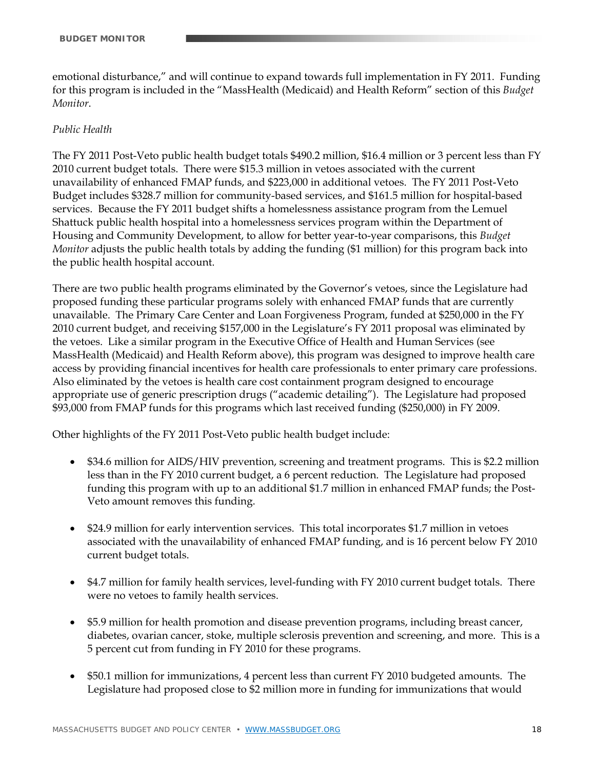emotional disturbance," and will continue to expand towards full implementation in FY 2011. Funding for this program is included in the "MassHealth (Medicaid) and Health Reform" section of this *Budget Monitor*.

# *Public Health*

The FY 2011 Post-Veto public health budget totals \$490.2 million, \$16.4 million or 3 percent less than FY 2010 current budget totals. There were \$15.3 million in vetoes associated with the current unavailability of enhanced FMAP funds, and \$223,000 in additional vetoes. The FY 2011 Post-Veto Budget includes \$328.7 million for community-based services, and \$161.5 million for hospital-based services. Because the FY 2011 budget shifts a homelessness assistance program from the Lemuel Shattuck public health hospital into a homelessness services program within the Department of Housing and Community Development, to allow for better year-to-year comparisons, this *Budget Monitor* adjusts the public health totals by adding the funding (\$1 million) for this program back into the public health hospital account.

There are two public health programs eliminated by the Governor's vetoes, since the Legislature had proposed funding these particular programs solely with enhanced FMAP funds that are currently unavailable. The Primary Care Center and Loan Forgiveness Program, funded at \$250,000 in the FY 2010 current budget, and receiving \$157,000 in the Legislature's FY 2011 proposal was eliminated by the vetoes. Like a similar program in the Executive Office of Health and Human Services (see MassHealth (Medicaid) and Health Reform above), this program was designed to improve health care access by providing financial incentives for health care professionals to enter primary care professions. Also eliminated by the vetoes is health care cost containment program designed to encourage appropriate use of generic prescription drugs ("academic detailing"). The Legislature had proposed \$93,000 from FMAP funds for this programs which last received funding (\$250,000) in FY 2009.

Other highlights of the FY 2011 Post-Veto public health budget include:

- \$34.6 million for AIDS/HIV prevention, screening and treatment programs. This is \$2.2 million less than in the FY 2010 current budget, a 6 percent reduction. The Legislature had proposed funding this program with up to an additional \$1.7 million in enhanced FMAP funds; the Post-Veto amount removes this funding.
- \$24.9 million for early intervention services. This total incorporates \$1.7 million in vetoes associated with the unavailability of enhanced FMAP funding, and is 16 percent below FY 2010 current budget totals.
- \$4.7 million for family health services, level-funding with FY 2010 current budget totals. There were no vetoes to family health services.
- \$5.9 million for health promotion and disease prevention programs, including breast cancer, diabetes, ovarian cancer, stoke, multiple sclerosis prevention and screening, and more. This is a 5 percent cut from funding in FY 2010 for these programs.
- \$50.1 million for immunizations, 4 percent less than current FY 2010 budgeted amounts. The Legislature had proposed close to \$2 million more in funding for immunizations that would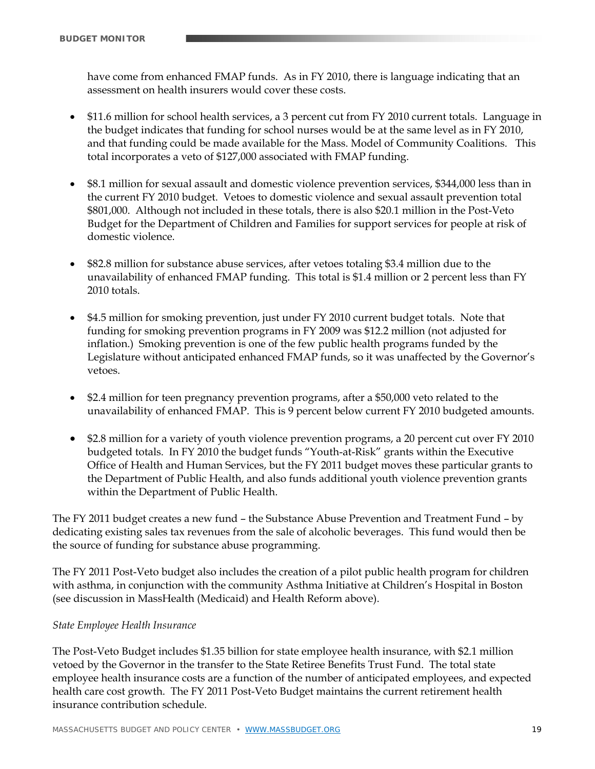have come from enhanced FMAP funds. As in FY 2010, there is language indicating that an assessment on health insurers would cover these costs.

- \$11.6 million for school health services, a 3 percent cut from FY 2010 current totals. Language in the budget indicates that funding for school nurses would be at the same level as in FY 2010, and that funding could be made available for the Mass. Model of Community Coalitions. This total incorporates a veto of \$127,000 associated with FMAP funding.
- \$8.1 million for sexual assault and domestic violence prevention services, \$344,000 less than in the current FY 2010 budget. Vetoes to domestic violence and sexual assault prevention total \$801,000. Although not included in these totals, there is also \$20.1 million in the Post-Veto Budget for the Department of Children and Families for support services for people at risk of domestic violence.
- \$82.8 million for substance abuse services, after vetoes totaling \$3.4 million due to the unavailability of enhanced FMAP funding. This total is \$1.4 million or 2 percent less than FY 2010 totals.
- \$4.5 million for smoking prevention, just under FY 2010 current budget totals. Note that funding for smoking prevention programs in FY 2009 was \$12.2 million (not adjusted for inflation.) Smoking prevention is one of the few public health programs funded by the Legislature without anticipated enhanced FMAP funds, so it was unaffected by the Governor's vetoes.
- \$2.4 million for teen pregnancy prevention programs, after a \$50,000 veto related to the unavailability of enhanced FMAP. This is 9 percent below current FY 2010 budgeted amounts.
- \$2.8 million for a variety of youth violence prevention programs, a 20 percent cut over FY 2010 budgeted totals. In FY 2010 the budget funds "Youth-at-Risk" grants within the Executive Office of Health and Human Services, but the FY 2011 budget moves these particular grants to the Department of Public Health, and also funds additional youth violence prevention grants within the Department of Public Health.

The FY 2011 budget creates a new fund – the Substance Abuse Prevention and Treatment Fund – by dedicating existing sales tax revenues from the sale of alcoholic beverages. This fund would then be the source of funding for substance abuse programming.

The FY 2011 Post-Veto budget also includes the creation of a pilot public health program for children with asthma, in conjunction with the community Asthma Initiative at Children's Hospital in Boston (see discussion in MassHealth (Medicaid) and Health Reform above).

# *State Employee Health Insurance*

The Post-Veto Budget includes \$1.35 billion for state employee health insurance, with \$2.1 million vetoed by the Governor in the transfer to the State Retiree Benefits Trust Fund. The total state employee health insurance costs are a function of the number of anticipated employees, and expected health care cost growth. The FY 2011 Post-Veto Budget maintains the current retirement health insurance contribution schedule.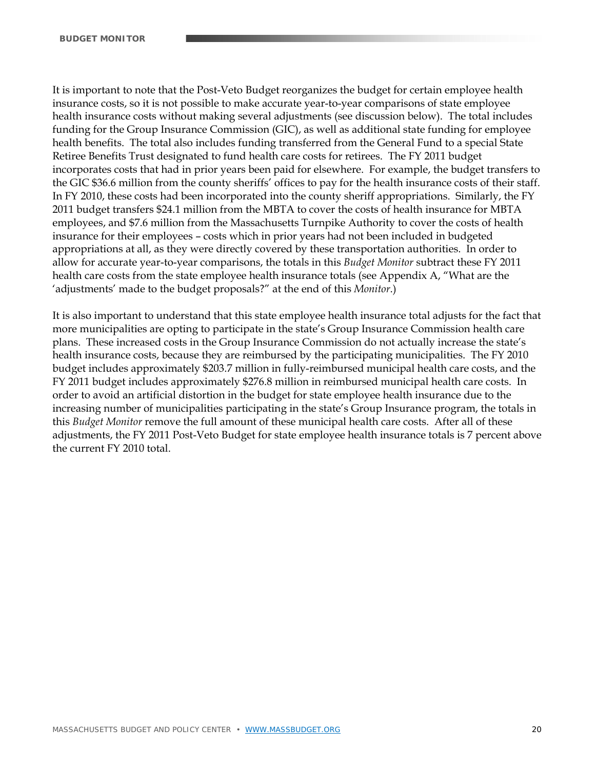It is important to note that the Post-Veto Budget reorganizes the budget for certain employee health insurance costs, so it is not possible to make accurate year-to-year comparisons of state employee health insurance costs without making several adjustments (see discussion below). The total includes funding for the Group Insurance Commission (GIC), as well as additional state funding for employee health benefits. The total also includes funding transferred from the General Fund to a special State Retiree Benefits Trust designated to fund health care costs for retirees. The FY 2011 budget incorporates costs that had in prior years been paid for elsewhere. For example, the budget transfers to the GIC \$36.6 million from the county sheriffs' offices to pay for the health insurance costs of their staff. In FY 2010, these costs had been incorporated into the county sheriff appropriations. Similarly, the FY 2011 budget transfers \$24.1 million from the MBTA to cover the costs of health insurance for MBTA employees, and \$7.6 million from the Massachusetts Turnpike Authority to cover the costs of health insurance for their employees – costs which in prior years had not been included in budgeted appropriations at all, as they were directly covered by these transportation authorities. In order to allow for accurate year-to-year comparisons, the totals in this *Budget Monitor* subtract these FY 2011 health care costs from the state employee health insurance totals (see Appendix A, "What are the 'adjustments' made to the budget proposals?" at the end of this *Monitor*.)

It is also important to understand that this state employee health insurance total adjusts for the fact that more municipalities are opting to participate in the state's Group Insurance Commission health care plans. These increased costs in the Group Insurance Commission do not actually increase the state's health insurance costs, because they are reimbursed by the participating municipalities. The FY 2010 budget includes approximately \$203.7 million in fully-reimbursed municipal health care costs, and the FY 2011 budget includes approximately \$276.8 million in reimbursed municipal health care costs. In order to avoid an artificial distortion in the budget for state employee health insurance due to the increasing number of municipalities participating in the state's Group Insurance program, the totals in this *Budget Monitor* remove the full amount of these municipal health care costs. After all of these adjustments, the FY 2011 Post-Veto Budget for state employee health insurance totals is 7 percent above the current FY 2010 total.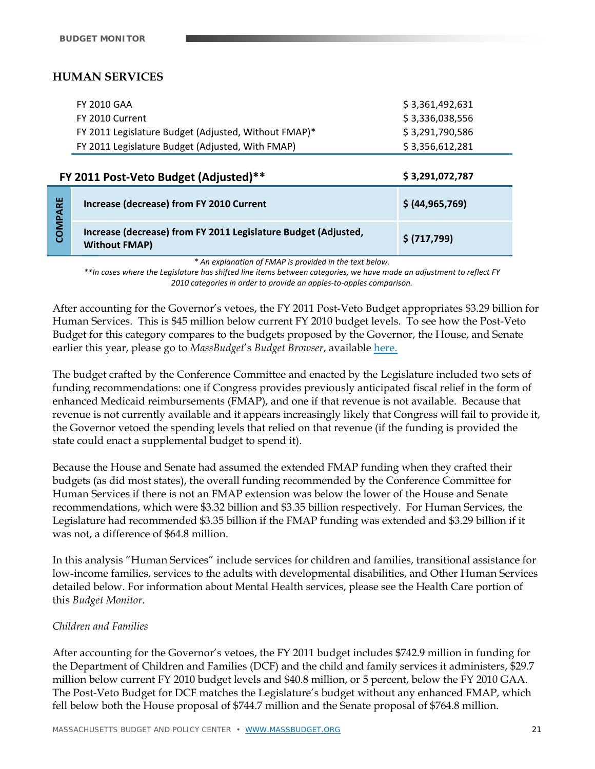# **HUMAN SERVICES**

| <b>FY 2010 GAA</b>                                   | \$3.361.492.631 |
|------------------------------------------------------|-----------------|
| FY 2010 Current                                      | \$3,336,038,556 |
| FY 2011 Legislature Budget (Adjusted, Without FMAP)* | \$3,291,790,586 |
| FY 2011 Legislature Budget (Adjusted, With FMAP)     | \$3,356,612,281 |

|            | FY 2011 Post-Veto Budget (Adjusted)**                                                  | \$3,291,072,787   |
|------------|----------------------------------------------------------------------------------------|-------------------|
| LШ<br>PARI | Increase (decrease) from FY 2010 Current                                               | \$ (44, 965, 769) |
| COM        | Increase (decrease) from FY 2011 Legislature Budget (Adjusted,<br><b>Without FMAP)</b> | \$ (717, 799)     |

*\* An explanation of FMAP is provided in the text below.* 

\*\*In cases where the Legislature has shifted line items between categories, we have made an adjustment to reflect FY *2010 categories in order to provide an apples‐to‐apples comparison.*

After accounting for the Governor's vetoes, the FY 2011 Post-Veto Budget appropriates \$3.29 billion for Human Services. This is \$45 million below current FY 2010 budget levels. To see how the Post-Veto Budget for this category compares to the budgets proposed by the Governor, the House, and Senate earlier this year, please go to *MassBudget*'s *Budget Browser*, available here.

The budget crafted by the Conference Committee and enacted by the Legislature included two sets of funding recommendations: one if Congress provides previously anticipated fiscal relief in the form of enhanced Medicaid reimbursements (FMAP), and one if that revenue is not available. Because that revenue is not currently available and it appears increasingly likely that Congress will fail to provide it, the Governor vetoed the spending levels that relied on that revenue (if the funding is provided the state could enact a supplemental budget to spend it).

Because the House and Senate had assumed the extended FMAP funding when they crafted their budgets (as did most states), the overall funding recommended by the Conference Committee for Human Services if there is not an FMAP extension was below the lower of the House and Senate recommendations, which were \$3.32 billion and \$3.35 billion respectively. For Human Services, the Legislature had recommended \$3.35 billion if the FMAP funding was extended and \$3.29 billion if it was not, a difference of \$64.8 million.

In this analysis "Human Services" include services for children and families, transitional assistance for low-income families, services to the adults with developmental disabilities, and Other Human Services detailed below. For information about Mental Health services, please see the Health Care portion of this *Budget Monitor*.

# *Children and Families*

After accounting for the Governor's vetoes, the FY 2011 budget includes \$742.9 million in funding for the Department of Children and Families (DCF) and the child and family services it administers, \$29.7 million below current FY 2010 budget levels and \$40.8 million, or 5 percent, below the FY 2010 GAA. The Post-Veto Budget for DCF matches the Legislature's budget without any enhanced FMAP, which fell below both the House proposal of \$744.7 million and the Senate proposal of \$764.8 million.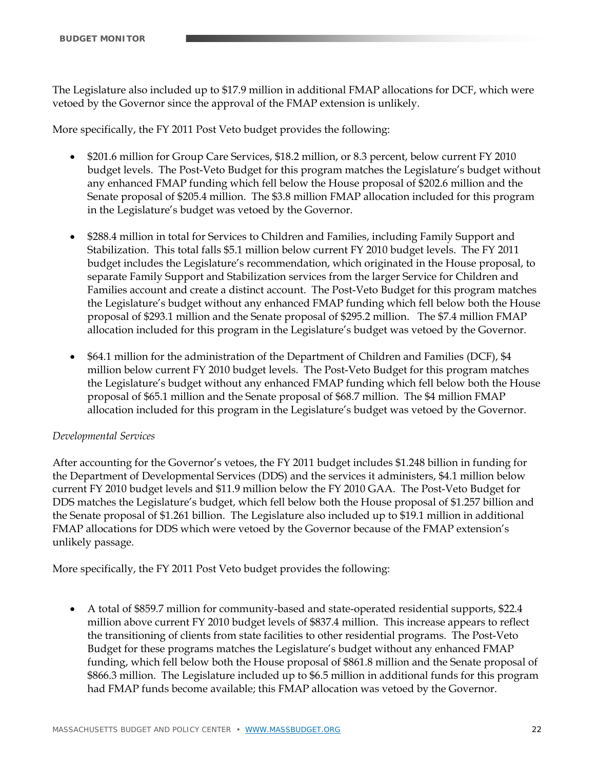The Legislature also included up to \$17.9 million in additional FMAP allocations for DCF, which were vetoed by the Governor since the approval of the FMAP extension is unlikely.

More specifically, the FY 2011 Post Veto budget provides the following:

- \$201.6 million for Group Care Services, \$18.2 million, or 8.3 percent, below current FY 2010 budget levels. The Post-Veto Budget for this program matches the Legislature's budget without any enhanced FMAP funding which fell below the House proposal of \$202.6 million and the Senate proposal of \$205.4 million. The \$3.8 million FMAP allocation included for this program in the Legislature's budget was vetoed by the Governor.
- \$288.4 million in total for Services to Children and Families, including Family Support and Stabilization. This total falls \$5.1 million below current FY 2010 budget levels. The FY 2011 budget includes the Legislature's recommendation, which originated in the House proposal, to separate Family Support and Stabilization services from the larger Service for Children and Families account and create a distinct account. The Post-Veto Budget for this program matches the Legislature's budget without any enhanced FMAP funding which fell below both the House proposal of \$293.1 million and the Senate proposal of \$295.2 million. The \$7.4 million FMAP allocation included for this program in the Legislature's budget was vetoed by the Governor.
- \$64.1 million for the administration of the Department of Children and Families (DCF), \$4 million below current FY 2010 budget levels. The Post-Veto Budget for this program matches the Legislature's budget without any enhanced FMAP funding which fell below both the House proposal of \$65.1 million and the Senate proposal of \$68.7 million. The \$4 million FMAP allocation included for this program in the Legislature's budget was vetoed by the Governor.

# *Developmental Services*

After accounting for the Governor's vetoes, the FY 2011 budget includes \$1.248 billion in funding for the Department of Developmental Services (DDS) and the services it administers, \$4.1 million below current FY 2010 budget levels and \$11.9 million below the FY 2010 GAA. The Post-Veto Budget for DDS matches the Legislature's budget, which fell below both the House proposal of \$1.257 billion and the Senate proposal of \$1.261 billion. The Legislature also included up to \$19.1 million in additional FMAP allocations for DDS which were vetoed by the Governor because of the FMAP extension's unlikely passage.

More specifically, the FY 2011 Post Veto budget provides the following:

 A total of \$859.7 million for community-based and state-operated residential supports, \$22.4 million above current FY 2010 budget levels of \$837.4 million. This increase appears to reflect the transitioning of clients from state facilities to other residential programs. The Post-Veto Budget for these programs matches the Legislature's budget without any enhanced FMAP funding, which fell below both the House proposal of \$861.8 million and the Senate proposal of \$866.3 million. The Legislature included up to \$6.5 million in additional funds for this program had FMAP funds become available; this FMAP allocation was vetoed by the Governor.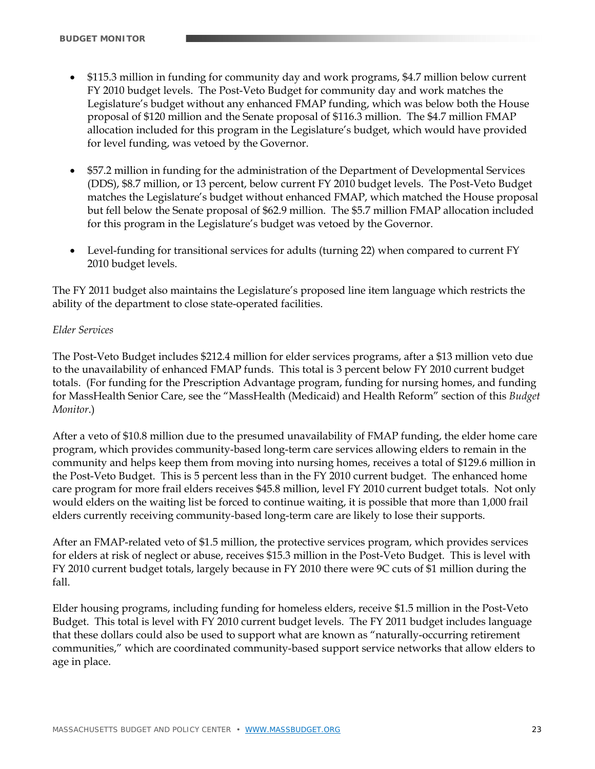- \$115.3 million in funding for community day and work programs, \$4.7 million below current FY 2010 budget levels. The Post-Veto Budget for community day and work matches the Legislature's budget without any enhanced FMAP funding, which was below both the House proposal of \$120 million and the Senate proposal of \$116.3 million. The \$4.7 million FMAP allocation included for this program in the Legislature's budget, which would have provided for level funding, was vetoed by the Governor.
- \$57.2 million in funding for the administration of the Department of Developmental Services (DDS), \$8.7 million, or 13 percent, below current FY 2010 budget levels. The Post-Veto Budget matches the Legislature's budget without enhanced FMAP, which matched the House proposal but fell below the Senate proposal of \$62.9 million. The \$5.7 million FMAP allocation included for this program in the Legislature's budget was vetoed by the Governor.
- Level-funding for transitional services for adults (turning 22) when compared to current FY 2010 budget levels.

The FY 2011 budget also maintains the Legislature's proposed line item language which restricts the ability of the department to close state-operated facilities.

# *Elder Services*

The Post-Veto Budget includes \$212.4 million for elder services programs, after a \$13 million veto due to the unavailability of enhanced FMAP funds. This total is 3 percent below FY 2010 current budget totals. (For funding for the Prescription Advantage program, funding for nursing homes, and funding for MassHealth Senior Care, see the "MassHealth (Medicaid) and Health Reform" section of this *Budget Monitor*.)

After a veto of \$10.8 million due to the presumed unavailability of FMAP funding, the elder home care program, which provides community-based long-term care services allowing elders to remain in the community and helps keep them from moving into nursing homes, receives a total of \$129.6 million in the Post-Veto Budget. This is 5 percent less than in the FY 2010 current budget. The enhanced home care program for more frail elders receives \$45.8 million, level FY 2010 current budget totals. Not only would elders on the waiting list be forced to continue waiting, it is possible that more than 1,000 frail elders currently receiving community-based long-term care are likely to lose their supports.

After an FMAP-related veto of \$1.5 million, the protective services program, which provides services for elders at risk of neglect or abuse, receives \$15.3 million in the Post-Veto Budget. This is level with FY 2010 current budget totals, largely because in FY 2010 there were 9C cuts of \$1 million during the fall.

Elder housing programs, including funding for homeless elders, receive \$1.5 million in the Post-Veto Budget. This total is level with FY 2010 current budget levels. The FY 2011 budget includes language that these dollars could also be used to support what are known as "naturally-occurring retirement communities," which are coordinated community-based support service networks that allow elders to age in place.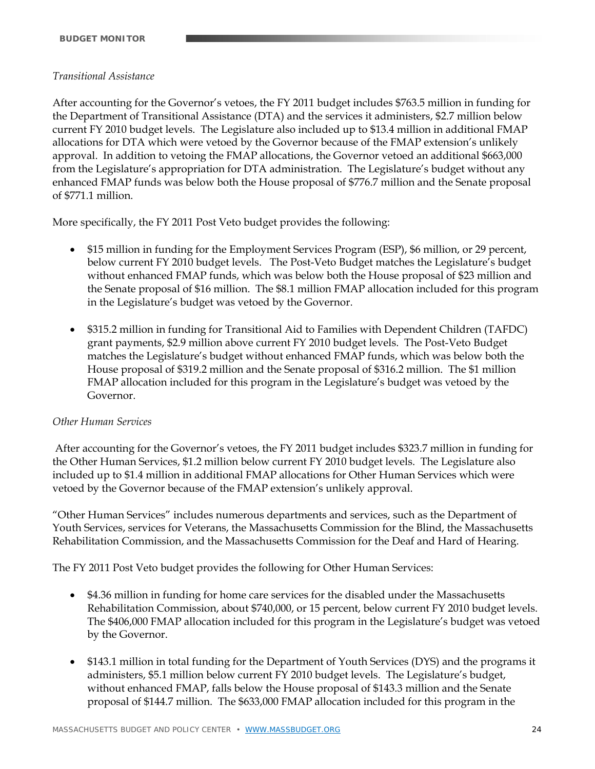# *Transitional Assistance*

After accounting for the Governor's vetoes, the FY 2011 budget includes \$763.5 million in funding for the Department of Transitional Assistance (DTA) and the services it administers, \$2.7 million below current FY 2010 budget levels. The Legislature also included up to \$13.4 million in additional FMAP allocations for DTA which were vetoed by the Governor because of the FMAP extension's unlikely approval. In addition to vetoing the FMAP allocations, the Governor vetoed an additional \$663,000 from the Legislature's appropriation for DTA administration. The Legislature's budget without any enhanced FMAP funds was below both the House proposal of \$776.7 million and the Senate proposal of \$771.1 million.

More specifically, the FY 2011 Post Veto budget provides the following:

- \$15 million in funding for the Employment Services Program (ESP), \$6 million, or 29 percent, below current FY 2010 budget levels. The Post-Veto Budget matches the Legislature's budget without enhanced FMAP funds, which was below both the House proposal of \$23 million and the Senate proposal of \$16 million. The \$8.1 million FMAP allocation included for this program in the Legislature's budget was vetoed by the Governor.
- \$315.2 million in funding for Transitional Aid to Families with Dependent Children (TAFDC) grant payments, \$2.9 million above current FY 2010 budget levels. The Post-Veto Budget matches the Legislature's budget without enhanced FMAP funds, which was below both the House proposal of \$319.2 million and the Senate proposal of \$316.2 million. The \$1 million FMAP allocation included for this program in the Legislature's budget was vetoed by the Governor.

# *Other Human Services*

 After accounting for the Governor's vetoes, the FY 2011 budget includes \$323.7 million in funding for the Other Human Services, \$1.2 million below current FY 2010 budget levels. The Legislature also included up to \$1.4 million in additional FMAP allocations for Other Human Services which were vetoed by the Governor because of the FMAP extension's unlikely approval.

"Other Human Services" includes numerous departments and services, such as the Department of Youth Services, services for Veterans, the Massachusetts Commission for the Blind, the Massachusetts Rehabilitation Commission, and the Massachusetts Commission for the Deaf and Hard of Hearing.

The FY 2011 Post Veto budget provides the following for Other Human Services:

- \$4.36 million in funding for home care services for the disabled under the Massachusetts Rehabilitation Commission, about \$740,000, or 15 percent, below current FY 2010 budget levels. The \$406,000 FMAP allocation included for this program in the Legislature's budget was vetoed by the Governor.
- \$143.1 million in total funding for the Department of Youth Services (DYS) and the programs it administers, \$5.1 million below current FY 2010 budget levels. The Legislature's budget, without enhanced FMAP, falls below the House proposal of \$143.3 million and the Senate proposal of \$144.7 million. The \$633,000 FMAP allocation included for this program in the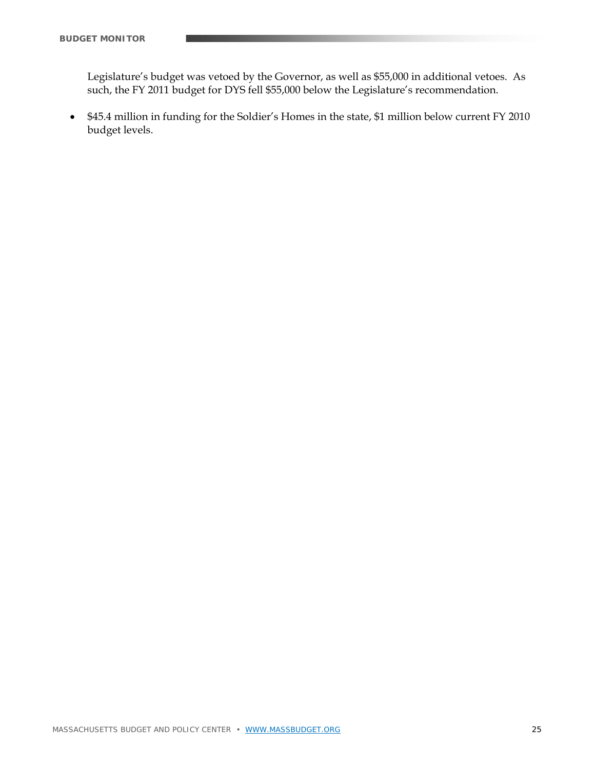Legislature's budget was vetoed by the Governor, as well as \$55,000 in additional vetoes. As such, the FY 2011 budget for DYS fell \$55,000 below the Legislature's recommendation.

 \$45.4 million in funding for the Soldier's Homes in the state, \$1 million below current FY 2010 budget levels.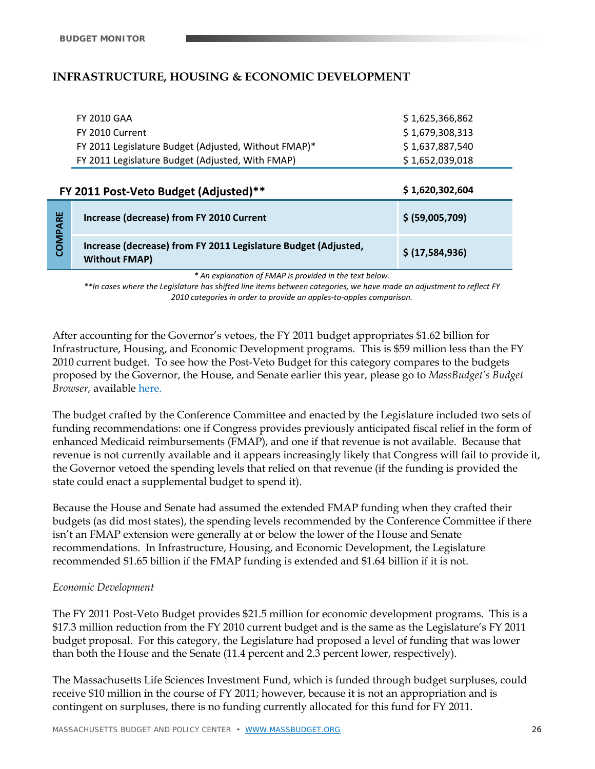# **INFRASTRUCTURE, HOUSING & ECONOMIC DEVELOPMENT**

| <b>FY 2010 GAA</b>                                   | \$1,625,366,862 |
|------------------------------------------------------|-----------------|
| FY 2010 Current                                      | \$1,679,308,313 |
| FY 2011 Legislature Budget (Adjusted, Without FMAP)* | \$1,637,887,540 |
| FY 2011 Legislature Budget (Adjusted, With FMAP)     | \$1,652,039,018 |

| \$1,620,302,604<br>FY 2011 Post-Veto Budget (Adjusted)** |                                                                                        |                 |  |  |  |
|----------------------------------------------------------|----------------------------------------------------------------------------------------|-----------------|--|--|--|
| 붵<br>ිටි                                                 | Increase (decrease) from FY 2010 Current                                               | \$ (59,005,709) |  |  |  |
|                                                          | Increase (decrease) from FY 2011 Legislature Budget (Adjusted,<br><b>Without FMAP)</b> | \$(17,584,936)  |  |  |  |

*\* An explanation of FMAP is provided in the text below.* 

\*\*In cases where the Legislature has shifted line items between categories, we have made an adjustment to reflect FY *2010 categories in order to provide an apples‐to‐apples comparison.*

After accounting for the Governor's vetoes, the FY 2011 budget appropriates \$1.62 billion for Infrastructure, Housing, and Economic Development programs. This is \$59 million less than the FY 2010 current budget. To see how the Post-Veto Budget for this category compares to the budgets proposed by the Governor, the House, and Senate earlier this year, please go to *MassBudget's Budget Browser,* available here.

The budget crafted by the Conference Committee and enacted by the Legislature included two sets of funding recommendations: one if Congress provides previously anticipated fiscal relief in the form of enhanced Medicaid reimbursements (FMAP), and one if that revenue is not available. Because that revenue is not currently available and it appears increasingly likely that Congress will fail to provide it, the Governor vetoed the spending levels that relied on that revenue (if the funding is provided the state could enact a supplemental budget to spend it).

Because the House and Senate had assumed the extended FMAP funding when they crafted their budgets (as did most states), the spending levels recommended by the Conference Committee if there isn't an FMAP extension were generally at or below the lower of the House and Senate recommendations. In Infrastructure, Housing, and Economic Development, the Legislature recommended \$1.65 billion if the FMAP funding is extended and \$1.64 billion if it is not.

#### *Economic Development*

The FY 2011 Post-Veto Budget provides \$21.5 million for economic development programs. This is a \$17.3 million reduction from the FY 2010 current budget and is the same as the Legislature's FY 2011 budget proposal. For this category, the Legislature had proposed a level of funding that was lower than both the House and the Senate (11.4 percent and 2.3 percent lower, respectively).

The Massachusetts Life Sciences Investment Fund, which is funded through budget surpluses, could receive \$10 million in the course of FY 2011; however, because it is not an appropriation and is contingent on surpluses, there is no funding currently allocated for this fund for FY 2011.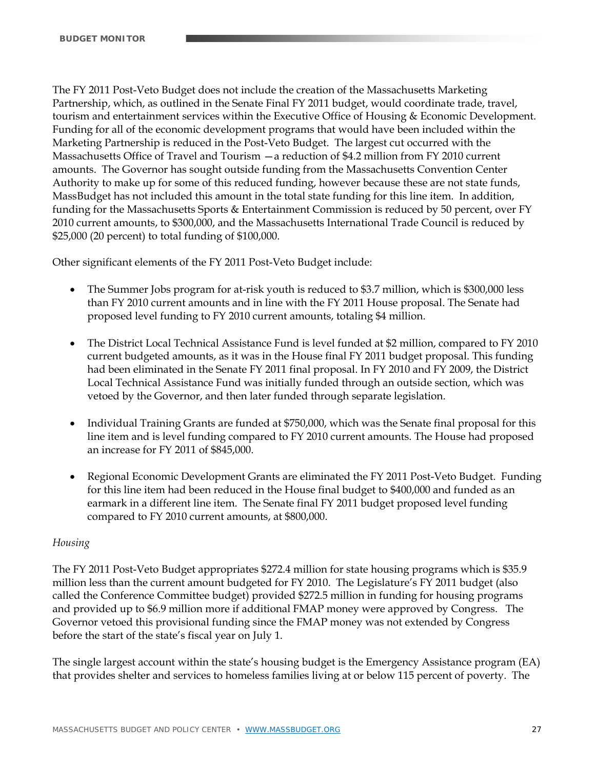The FY 2011 Post-Veto Budget does not include the creation of the Massachusetts Marketing Partnership, which, as outlined in the Senate Final FY 2011 budget, would coordinate trade, travel, tourism and entertainment services within the Executive Office of Housing & Economic Development. Funding for all of the economic development programs that would have been included within the Marketing Partnership is reduced in the Post-Veto Budget. The largest cut occurred with the Massachusetts Office of Travel and Tourism —a reduction of \$4.2 million from FY 2010 current amounts. The Governor has sought outside funding from the Massachusetts Convention Center Authority to make up for some of this reduced funding, however because these are not state funds, MassBudget has not included this amount in the total state funding for this line item. In addition, funding for the Massachusetts Sports & Entertainment Commission is reduced by 50 percent, over FY 2010 current amounts, to \$300,000, and the Massachusetts International Trade Council is reduced by \$25,000 (20 percent) to total funding of \$100,000.

Other significant elements of the FY 2011 Post-Veto Budget include:

- The Summer Jobs program for at-risk youth is reduced to \$3.7 million, which is \$300,000 less than FY 2010 current amounts and in line with the FY 2011 House proposal. The Senate had proposed level funding to FY 2010 current amounts, totaling \$4 million.
- The District Local Technical Assistance Fund is level funded at \$2 million, compared to FY 2010 current budgeted amounts, as it was in the House final FY 2011 budget proposal. This funding had been eliminated in the Senate FY 2011 final proposal. In FY 2010 and FY 2009, the District Local Technical Assistance Fund was initially funded through an outside section, which was vetoed by the Governor, and then later funded through separate legislation.
- Individual Training Grants are funded at \$750,000, which was the Senate final proposal for this line item and is level funding compared to FY 2010 current amounts. The House had proposed an increase for FY 2011 of \$845,000.
- Regional Economic Development Grants are eliminated the FY 2011 Post-Veto Budget. Funding for this line item had been reduced in the House final budget to \$400,000 and funded as an earmark in a different line item. The Senate final FY 2011 budget proposed level funding compared to FY 2010 current amounts, at \$800,000.

# *Housing*

The FY 2011 Post-Veto Budget appropriates \$272.4 million for state housing programs which is \$35.9 million less than the current amount budgeted for FY 2010. The Legislature's FY 2011 budget (also called the Conference Committee budget) provided \$272.5 million in funding for housing programs and provided up to \$6.9 million more if additional FMAP money were approved by Congress. The Governor vetoed this provisional funding since the FMAP money was not extended by Congress before the start of the state's fiscal year on July 1.

The single largest account within the state's housing budget is the Emergency Assistance program (EA) that provides shelter and services to homeless families living at or below 115 percent of poverty. The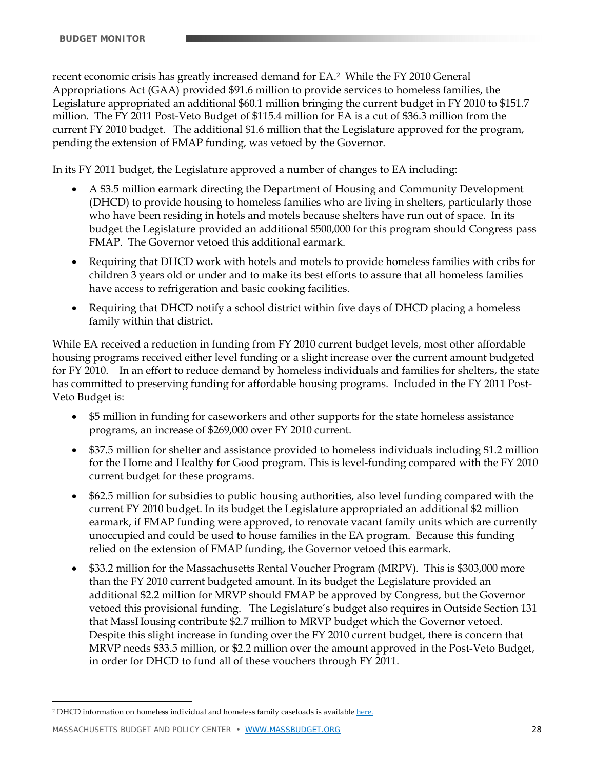recent economic crisis has greatly increased demand for EA.2 While the FY 2010 General Appropriations Act (GAA) provided \$91.6 million to provide services to homeless families, the Legislature appropriated an additional \$60.1 million bringing the current budget in FY 2010 to \$151.7 million. The FY 2011 Post-Veto Budget of \$115.4 million for EA is a cut of \$36.3 million from the current FY 2010 budget. The additional \$1.6 million that the Legislature approved for the program, pending the extension of FMAP funding, was vetoed by the Governor.

In its FY 2011 budget, the Legislature approved a number of changes to EA including:

- A \$3.5 million earmark directing the Department of Housing and Community Development (DHCD) to provide housing to homeless families who are living in shelters, particularly those who have been residing in hotels and motels because shelters have run out of space. In its budget the Legislature provided an additional \$500,000 for this program should Congress pass FMAP. The Governor vetoed this additional earmark.
- Requiring that DHCD work with hotels and motels to provide homeless families with cribs for children 3 years old or under and to make its best efforts to assure that all homeless families have access to refrigeration and basic cooking facilities.
- Requiring that DHCD notify a school district within five days of DHCD placing a homeless family within that district.

While EA received a reduction in funding from FY 2010 current budget levels, most other affordable housing programs received either level funding or a slight increase over the current amount budgeted for FY 2010. In an effort to reduce demand by homeless individuals and families for shelters, the state has committed to preserving funding for affordable housing programs. Included in the FY 2011 Post-Veto Budget is:

- \$5 million in funding for caseworkers and other supports for the state homeless assistance programs, an increase of \$269,000 over FY 2010 current.
- \$37.5 million for shelter and assistance provided to homeless individuals including \$1.2 million for the Home and Healthy for Good program. This is level-funding compared with the FY 2010 current budget for these programs.
- \$62.5 million for subsidies to public housing authorities, also level funding compared with the current FY 2010 budget. In its budget the Legislature appropriated an additional \$2 million earmark, if FMAP funding were approved, to renovate vacant family units which are currently unoccupied and could be used to house families in the EA program. Because this funding relied on the extension of FMAP funding, the Governor vetoed this earmark.
- \$33.2 million for the Massachusetts Rental Voucher Program (MRPV). This is \$303,000 more than the FY 2010 current budgeted amount. In its budget the Legislature provided an additional \$2.2 million for MRVP should FMAP be approved by Congress, but the Governor vetoed this provisional funding. The Legislature's budget also requires in Outside Section 131 that MassHousing contribute \$2.7 million to MRVP budget which the Governor vetoed. Despite this slight increase in funding over the FY 2010 current budget, there is concern that MRVP needs \$33.5 million, or \$2.2 million over the amount approved in the Post-Veto Budget, in order for DHCD to fund all of these vouchers through FY 2011.

<sup>&</sup>lt;u>.</u> <sup>2</sup> DHCD information on homeless individual and homeless family caseloads is available here.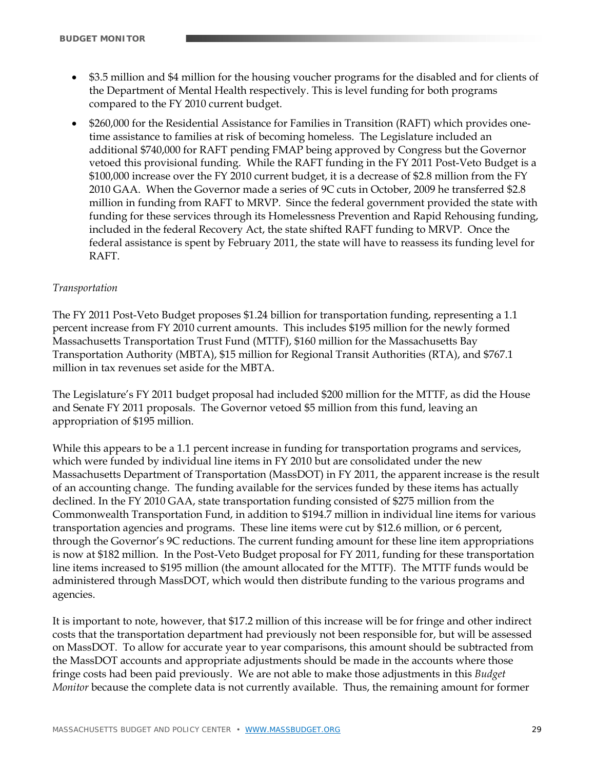- \$3.5 million and \$4 million for the housing voucher programs for the disabled and for clients of the Department of Mental Health respectively. This is level funding for both programs compared to the FY 2010 current budget.
- \$260,000 for the Residential Assistance for Families in Transition (RAFT) which provides onetime assistance to families at risk of becoming homeless. The Legislature included an additional \$740,000 for RAFT pending FMAP being approved by Congress but the Governor vetoed this provisional funding. While the RAFT funding in the FY 2011 Post-Veto Budget is a \$100,000 increase over the FY 2010 current budget, it is a decrease of \$2.8 million from the FY 2010 GAA. When the Governor made a series of 9C cuts in October, 2009 he transferred \$2.8 million in funding from RAFT to MRVP. Since the federal government provided the state with funding for these services through its Homelessness Prevention and Rapid Rehousing funding, included in the federal Recovery Act, the state shifted RAFT funding to MRVP. Once the federal assistance is spent by February 2011, the state will have to reassess its funding level for RAFT.

# *Transportation*

The FY 2011 Post-Veto Budget proposes \$1.24 billion for transportation funding, representing a 1.1 percent increase from FY 2010 current amounts. This includes \$195 million for the newly formed Massachusetts Transportation Trust Fund (MTTF), \$160 million for the Massachusetts Bay Transportation Authority (MBTA), \$15 million for Regional Transit Authorities (RTA), and \$767.1 million in tax revenues set aside for the MBTA.

The Legislature's FY 2011 budget proposal had included \$200 million for the MTTF, as did the House and Senate FY 2011 proposals. The Governor vetoed \$5 million from this fund, leaving an appropriation of \$195 million.

While this appears to be a 1.1 percent increase in funding for transportation programs and services, which were funded by individual line items in FY 2010 but are consolidated under the new Massachusetts Department of Transportation (MassDOT) in FY 2011, the apparent increase is the result of an accounting change. The funding available for the services funded by these items has actually declined. In the FY 2010 GAA, state transportation funding consisted of \$275 million from the Commonwealth Transportation Fund, in addition to \$194.7 million in individual line items for various transportation agencies and programs. These line items were cut by \$12.6 million, or 6 percent, through the Governor's 9C reductions. The current funding amount for these line item appropriations is now at \$182 million. In the Post-Veto Budget proposal for FY 2011, funding for these transportation line items increased to \$195 million (the amount allocated for the MTTF). The MTTF funds would be administered through MassDOT, which would then distribute funding to the various programs and agencies.

It is important to note, however, that \$17.2 million of this increase will be for fringe and other indirect costs that the transportation department had previously not been responsible for, but will be assessed on MassDOT. To allow for accurate year to year comparisons, this amount should be subtracted from the MassDOT accounts and appropriate adjustments should be made in the accounts where those fringe costs had been paid previously. We are not able to make those adjustments in this *Budget Monitor* because the complete data is not currently available. Thus, the remaining amount for former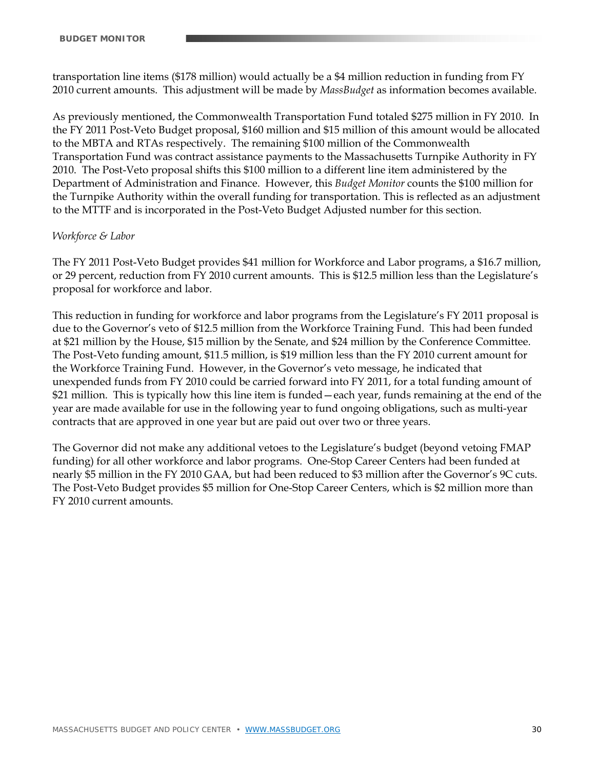transportation line items (\$178 million) would actually be a \$4 million reduction in funding from FY 2010 current amounts. This adjustment will be made by *MassBudget* as information becomes available.

As previously mentioned, the Commonwealth Transportation Fund totaled \$275 million in FY 2010. In the FY 2011 Post-Veto Budget proposal, \$160 million and \$15 million of this amount would be allocated to the MBTA and RTAs respectively. The remaining \$100 million of the Commonwealth Transportation Fund was contract assistance payments to the Massachusetts Turnpike Authority in FY 2010. The Post-Veto proposal shifts this \$100 million to a different line item administered by the Department of Administration and Finance. However, this *Budget Monitor* counts the \$100 million for the Turnpike Authority within the overall funding for transportation. This is reflected as an adjustment to the MTTF and is incorporated in the Post-Veto Budget Adjusted number for this section.

#### *Workforce & Labor*

The FY 2011 Post-Veto Budget provides \$41 million for Workforce and Labor programs, a \$16.7 million, or 29 percent, reduction from FY 2010 current amounts. This is \$12.5 million less than the Legislature's proposal for workforce and labor.

This reduction in funding for workforce and labor programs from the Legislature's FY 2011 proposal is due to the Governor's veto of \$12.5 million from the Workforce Training Fund. This had been funded at \$21 million by the House, \$15 million by the Senate, and \$24 million by the Conference Committee. The Post-Veto funding amount, \$11.5 million, is \$19 million less than the FY 2010 current amount for the Workforce Training Fund. However, in the Governor's veto message, he indicated that unexpended funds from FY 2010 could be carried forward into FY 2011, for a total funding amount of \$21 million. This is typically how this line item is funded—each year, funds remaining at the end of the year are made available for use in the following year to fund ongoing obligations, such as multi-year contracts that are approved in one year but are paid out over two or three years.

The Governor did not make any additional vetoes to the Legislature's budget (beyond vetoing FMAP funding) for all other workforce and labor programs. One-Stop Career Centers had been funded at nearly \$5 million in the FY 2010 GAA, but had been reduced to \$3 million after the Governor's 9C cuts. The Post-Veto Budget provides \$5 million for One-Stop Career Centers, which is \$2 million more than FY 2010 current amounts.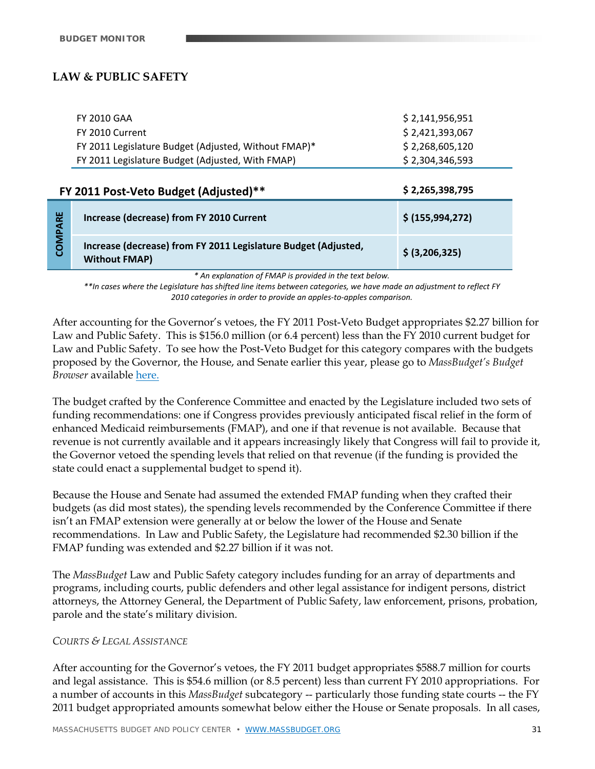# **LAW & PUBLIC SAFETY**

| <b>FY 2010 GAA</b>                                   | \$2,141,956,951 |
|------------------------------------------------------|-----------------|
| FY 2010 Current                                      | \$2,421,393,067 |
| FY 2011 Legislature Budget (Adjusted, Without FMAP)* | \$2,268,605,120 |
| FY 2011 Legislature Budget (Adjusted, With FMAP)     | \$2,304,346,593 |

|               | \$2,265,398,795<br>FY 2011 Post-Veto Budget (Adjusted)**                               |                  |  |  |  |  |
|---------------|----------------------------------------------------------------------------------------|------------------|--|--|--|--|
| 붵<br><b>S</b> | Increase (decrease) from FY 2010 Current                                               | \$ (155,994,272) |  |  |  |  |
|               | Increase (decrease) from FY 2011 Legislature Budget (Adjusted,<br><b>Without FMAP)</b> | \$ (3,206,325)   |  |  |  |  |

*\* An explanation of FMAP is provided in the text below.* 

\*\*In cases where the Legislature has shifted line items between categories, we have made an adjustment to reflect FY *2010 categories in order to provide an apples‐to‐apples comparison.*

After accounting for the Governor's vetoes, the FY 2011 Post-Veto Budget appropriates \$2.27 billion for Law and Public Safety. This is \$156.0 million (or 6.4 percent) less than the FY 2010 current budget for Law and Public Safety. To see how the Post-Veto Budget for this category compares with the budgets proposed by the Governor, the House, and Senate earlier this year, please go to *MassBudget's Budget Browser* available here.

The budget crafted by the Conference Committee and enacted by the Legislature included two sets of funding recommendations: one if Congress provides previously anticipated fiscal relief in the form of enhanced Medicaid reimbursements (FMAP), and one if that revenue is not available. Because that revenue is not currently available and it appears increasingly likely that Congress will fail to provide it, the Governor vetoed the spending levels that relied on that revenue (if the funding is provided the state could enact a supplemental budget to spend it).

Because the House and Senate had assumed the extended FMAP funding when they crafted their budgets (as did most states), the spending levels recommended by the Conference Committee if there isn't an FMAP extension were generally at or below the lower of the House and Senate recommendations. In Law and Public Safety, the Legislature had recommended \$2.30 billion if the FMAP funding was extended and \$2.27 billion if it was not.

The *MassBudget* Law and Public Safety category includes funding for an array of departments and programs, including courts, public defenders and other legal assistance for indigent persons, district attorneys, the Attorney General, the Department of Public Safety, law enforcement, prisons, probation, parole and the state's military division.

#### *COURTS & LEGAL ASSISTANCE*

After accounting for the Governor's vetoes, the FY 2011 budget appropriates \$588.7 million for courts and legal assistance. This is \$54.6 million (or 8.5 percent) less than current FY 2010 appropriations. For a number of accounts in this *MassBudget* subcategory -- particularly those funding state courts -- the FY 2011 budget appropriated amounts somewhat below either the House or Senate proposals. In all cases,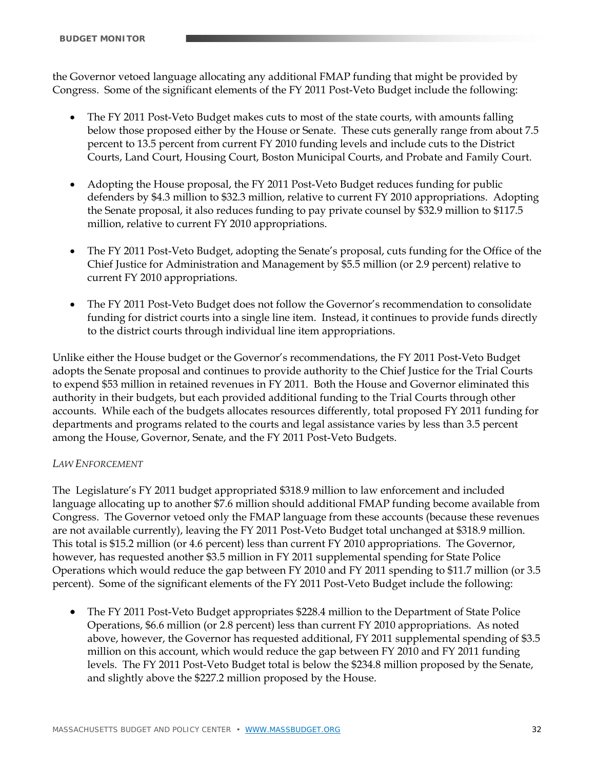the Governor vetoed language allocating any additional FMAP funding that might be provided by Congress. Some of the significant elements of the FY 2011 Post-Veto Budget include the following:

- The FY 2011 Post-Veto Budget makes cuts to most of the state courts, with amounts falling below those proposed either by the House or Senate. These cuts generally range from about 7.5 percent to 13.5 percent from current FY 2010 funding levels and include cuts to the District Courts, Land Court, Housing Court, Boston Municipal Courts, and Probate and Family Court.
- Adopting the House proposal, the FY 2011 Post-Veto Budget reduces funding for public defenders by \$4.3 million to \$32.3 million, relative to current FY 2010 appropriations. Adopting the Senate proposal, it also reduces funding to pay private counsel by \$32.9 million to \$117.5 million, relative to current FY 2010 appropriations.
- The FY 2011 Post-Veto Budget, adopting the Senate's proposal, cuts funding for the Office of the Chief Justice for Administration and Management by \$5.5 million (or 2.9 percent) relative to current FY 2010 appropriations.
- The FY 2011 Post-Veto Budget does not follow the Governor's recommendation to consolidate funding for district courts into a single line item. Instead, it continues to provide funds directly to the district courts through individual line item appropriations.

Unlike either the House budget or the Governor's recommendations, the FY 2011 Post-Veto Budget adopts the Senate proposal and continues to provide authority to the Chief Justice for the Trial Courts to expend \$53 million in retained revenues in FY 2011. Both the House and Governor eliminated this authority in their budgets, but each provided additional funding to the Trial Courts through other accounts. While each of the budgets allocates resources differently, total proposed FY 2011 funding for departments and programs related to the courts and legal assistance varies by less than 3.5 percent among the House, Governor, Senate, and the FY 2011 Post-Veto Budgets.

# *LAW ENFORCEMENT*

The Legislature's FY 2011 budget appropriated \$318.9 million to law enforcement and included language allocating up to another \$7.6 million should additional FMAP funding become available from Congress. The Governor vetoed only the FMAP language from these accounts (because these revenues are not available currently), leaving the FY 2011 Post-Veto Budget total unchanged at \$318.9 million. This total is \$15.2 million (or 4.6 percent) less than current FY 2010 appropriations. The Governor, however, has requested another \$3.5 million in FY 2011 supplemental spending for State Police Operations which would reduce the gap between FY 2010 and FY 2011 spending to \$11.7 million (or 3.5 percent). Some of the significant elements of the FY 2011 Post-Veto Budget include the following:

• The FY 2011 Post-Veto Budget appropriates \$228.4 million to the Department of State Police Operations, \$6.6 million (or 2.8 percent) less than current FY 2010 appropriations. As noted above, however, the Governor has requested additional, FY 2011 supplemental spending of \$3.5 million on this account, which would reduce the gap between FY 2010 and FY 2011 funding levels. The FY 2011 Post-Veto Budget total is below the \$234.8 million proposed by the Senate, and slightly above the \$227.2 million proposed by the House.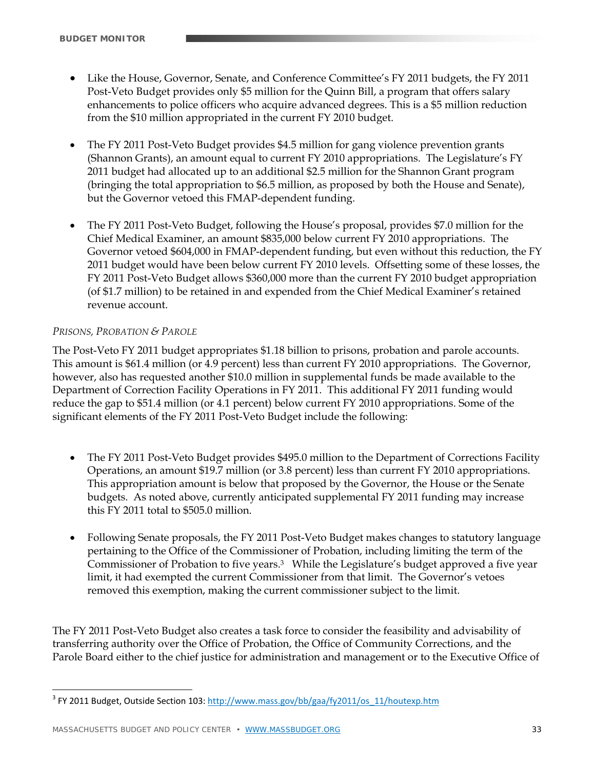- Like the House, Governor, Senate, and Conference Committee's FY 2011 budgets, the FY 2011 Post-Veto Budget provides only \$5 million for the Quinn Bill, a program that offers salary enhancements to police officers who acquire advanced degrees. This is a \$5 million reduction from the \$10 million appropriated in the current FY 2010 budget.
- The FY 2011 Post-Veto Budget provides \$4.5 million for gang violence prevention grants (Shannon Grants), an amount equal to current FY 2010 appropriations. The Legislature's FY 2011 budget had allocated up to an additional \$2.5 million for the Shannon Grant program (bringing the total appropriation to \$6.5 million, as proposed by both the House and Senate), but the Governor vetoed this FMAP-dependent funding.
- The FY 2011 Post-Veto Budget, following the House's proposal, provides \$7.0 million for the Chief Medical Examiner, an amount \$835,000 below current FY 2010 appropriations. The Governor vetoed \$604,000 in FMAP-dependent funding, but even without this reduction, the FY 2011 budget would have been below current FY 2010 levels. Offsetting some of these losses, the FY 2011 Post-Veto Budget allows \$360,000 more than the current FY 2010 budget appropriation (of \$1.7 million) to be retained in and expended from the Chief Medical Examiner's retained revenue account.

# *PRISONS, PROBATION & PAROLE*

 $\overline{a}$ 

The Post-Veto FY 2011 budget appropriates \$1.18 billion to prisons, probation and parole accounts. This amount is \$61.4 million (or 4.9 percent) less than current FY 2010 appropriations. The Governor, however, also has requested another \$10.0 million in supplemental funds be made available to the Department of Correction Facility Operations in FY 2011. This additional FY 2011 funding would reduce the gap to \$51.4 million (or 4.1 percent) below current FY 2010 appropriations. Some of the significant elements of the FY 2011 Post-Veto Budget include the following:

- The FY 2011 Post-Veto Budget provides \$495.0 million to the Department of Corrections Facility Operations, an amount \$19.7 million (or 3.8 percent) less than current FY 2010 appropriations. This appropriation amount is below that proposed by the Governor, the House or the Senate budgets. As noted above, currently anticipated supplemental FY 2011 funding may increase this FY 2011 total to \$505.0 million.
- Following Senate proposals, the FY 2011 Post-Veto Budget makes changes to statutory language pertaining to the Office of the Commissioner of Probation, including limiting the term of the Commissioner of Probation to five years.3 While the Legislature's budget approved a five year limit, it had exempted the current Commissioner from that limit. The Governor's vetoes removed this exemption, making the current commissioner subject to the limit.

The FY 2011 Post-Veto Budget also creates a task force to consider the feasibility and advisability of transferring authority over the Office of Probation, the Office of Community Corrections, and the Parole Board either to the chief justice for administration and management or to the Executive Office of

<sup>&</sup>lt;sup>3</sup> FY 2011 Budget, Outside Section 103: http://www.mass.gov/bb/gaa/fy2011/os\_11/houtexp.htm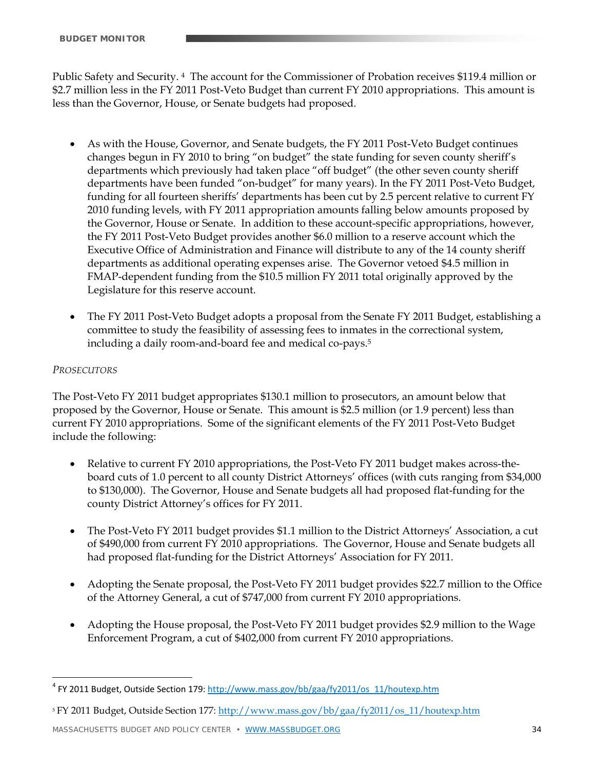Public Safety and Security. 4 The account for the Commissioner of Probation receives \$119.4 million or \$2.7 million less in the FY 2011 Post-Veto Budget than current FY 2010 appropriations. This amount is less than the Governor, House, or Senate budgets had proposed.

- As with the House, Governor, and Senate budgets, the FY 2011 Post-Veto Budget continues changes begun in FY 2010 to bring "on budget" the state funding for seven county sheriff's departments which previously had taken place "off budget" (the other seven county sheriff departments have been funded "on-budget" for many years). In the FY 2011 Post-Veto Budget, funding for all fourteen sheriffs' departments has been cut by 2.5 percent relative to current FY 2010 funding levels, with FY 2011 appropriation amounts falling below amounts proposed by the Governor, House or Senate. In addition to these account-specific appropriations, however, the FY 2011 Post-Veto Budget provides another \$6.0 million to a reserve account which the Executive Office of Administration and Finance will distribute to any of the 14 county sheriff departments as additional operating expenses arise. The Governor vetoed \$4.5 million in FMAP-dependent funding from the \$10.5 million FY 2011 total originally approved by the Legislature for this reserve account.
- The FY 2011 Post-Veto Budget adopts a proposal from the Senate FY 2011 Budget, establishing a committee to study the feasibility of assessing fees to inmates in the correctional system, including a daily room-and-board fee and medical co-pays.5

# *PROSECUTORS*

<u>.</u>

The Post-Veto FY 2011 budget appropriates \$130.1 million to prosecutors, an amount below that proposed by the Governor, House or Senate. This amount is \$2.5 million (or 1.9 percent) less than current FY 2010 appropriations. Some of the significant elements of the FY 2011 Post-Veto Budget include the following:

- Relative to current FY 2010 appropriations, the Post-Veto FY 2011 budget makes across-theboard cuts of 1.0 percent to all county District Attorneys' offices (with cuts ranging from \$34,000 to \$130,000). The Governor, House and Senate budgets all had proposed flat-funding for the county District Attorney's offices for FY 2011.
- The Post-Veto FY 2011 budget provides \$1.1 million to the District Attorneys' Association, a cut of \$490,000 from current FY 2010 appropriations. The Governor, House and Senate budgets all had proposed flat-funding for the District Attorneys' Association for FY 2011.
- Adopting the Senate proposal, the Post-Veto FY 2011 budget provides \$22.7 million to the Office of the Attorney General, a cut of \$747,000 from current FY 2010 appropriations.
- Adopting the House proposal, the Post-Veto FY 2011 budget provides \$2.9 million to the Wage Enforcement Program, a cut of \$402,000 from current FY 2010 appropriations.

<sup>&</sup>lt;sup>4</sup> FY 2011 Budget, Outside Section 179: http://www.mass.gov/bb/gaa/fy2011/os\_11/houtexp.htm

<sup>5</sup> FY 2011 Budget, Outside Section 177: http://www.mass.gov/bb/gaa/fy2011/os\_11/houtexp.htm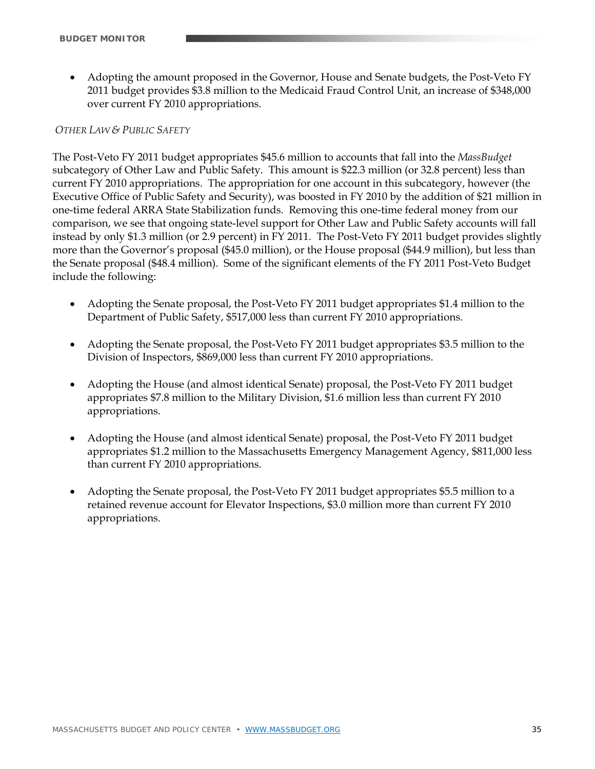Adopting the amount proposed in the Governor, House and Senate budgets, the Post-Veto FY 2011 budget provides \$3.8 million to the Medicaid Fraud Control Unit, an increase of \$348,000 over current FY 2010 appropriations.

# *OTHER LAW & PUBLIC SAFETY*

The Post-Veto FY 2011 budget appropriates \$45.6 million to accounts that fall into the *MassBudget*  subcategory of Other Law and Public Safety. This amount is \$22.3 million (or 32.8 percent) less than current FY 2010 appropriations. The appropriation for one account in this subcategory, however (the Executive Office of Public Safety and Security), was boosted in FY 2010 by the addition of \$21 million in one-time federal ARRA State Stabilization funds. Removing this one-time federal money from our comparison, we see that ongoing state-level support for Other Law and Public Safety accounts will fall instead by only \$1.3 million (or 2.9 percent) in FY 2011. The Post-Veto FY 2011 budget provides slightly more than the Governor's proposal (\$45.0 million), or the House proposal (\$44.9 million), but less than the Senate proposal (\$48.4 million). Some of the significant elements of the FY 2011 Post-Veto Budget include the following:

- Adopting the Senate proposal, the Post-Veto FY 2011 budget appropriates \$1.4 million to the Department of Public Safety, \$517,000 less than current FY 2010 appropriations.
- Adopting the Senate proposal, the Post-Veto FY 2011 budget appropriates \$3.5 million to the Division of Inspectors, \$869,000 less than current FY 2010 appropriations.
- Adopting the House (and almost identical Senate) proposal, the Post-Veto FY 2011 budget appropriates \$7.8 million to the Military Division, \$1.6 million less than current FY 2010 appropriations.
- Adopting the House (and almost identical Senate) proposal, the Post-Veto FY 2011 budget appropriates \$1.2 million to the Massachusetts Emergency Management Agency, \$811,000 less than current FY 2010 appropriations.
- Adopting the Senate proposal, the Post-Veto FY 2011 budget appropriates \$5.5 million to a retained revenue account for Elevator Inspections, \$3.0 million more than current FY 2010 appropriations.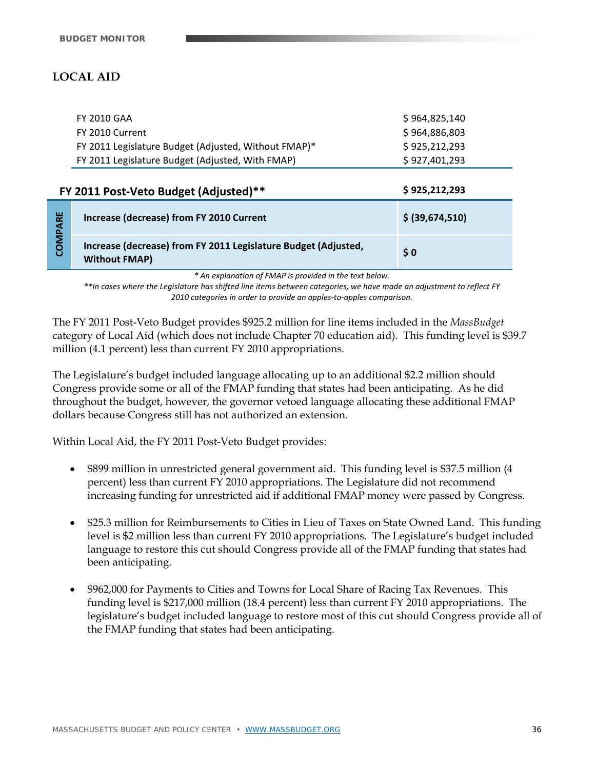# **LOCAL AID**

| FY 2010 GAA                                          | \$964,825,140 |
|------------------------------------------------------|---------------|
| FY 2010 Current                                      | \$964,886,803 |
| FY 2011 Legislature Budget (Adjusted, Without FMAP)* | \$925,212,293 |
| FY 2011 Legislature Budget (Adjusted, With FMAP)     | \$927.401.293 |
|                                                      |               |

| \$925,212,293<br>FY 2011 Post-Veto Budget (Adjusted)** |                                                                                        |                 |  |  |
|--------------------------------------------------------|----------------------------------------------------------------------------------------|-----------------|--|--|
| 멅<br><b>S</b>                                          | Increase (decrease) from FY 2010 Current                                               | \$ (39,674,510) |  |  |
|                                                        | Increase (decrease) from FY 2011 Legislature Budget (Adjusted,<br><b>Without FMAP)</b> | $\frac{1}{2}$ 0 |  |  |

*\* An explanation of FMAP is provided in the text below.* 

\*\*In cases where the Legislature has shifted line items between categories, we have made an adjustment to reflect FY *2010 categories in order to provide an apples‐to‐apples comparison.*

The FY 2011 Post-Veto Budget provides \$925.2 million for line items included in the *MassBudget* category of Local Aid (which does not include Chapter 70 education aid). This funding level is \$39.7 million (4.1 percent) less than current FY 2010 appropriations.

The Legislature's budget included language allocating up to an additional \$2.2 million should Congress provide some or all of the FMAP funding that states had been anticipating. As he did throughout the budget, however, the governor vetoed language allocating these additional FMAP dollars because Congress still has not authorized an extension.

Within Local Aid, the FY 2011 Post-Veto Budget provides:

- \$899 million in unrestricted general government aid. This funding level is \$37.5 million (4 percent) less than current FY 2010 appropriations. The Legislature did not recommend increasing funding for unrestricted aid if additional FMAP money were passed by Congress.
- \$25.3 million for Reimbursements to Cities in Lieu of Taxes on State Owned Land. This funding level is \$2 million less than current FY 2010 appropriations. The Legislature's budget included language to restore this cut should Congress provide all of the FMAP funding that states had been anticipating.
- \$962,000 for Payments to Cities and Towns for Local Share of Racing Tax Revenues. This funding level is \$217,000 million (18.4 percent) less than current FY 2010 appropriations. The legislature's budget included language to restore most of this cut should Congress provide all of the FMAP funding that states had been anticipating.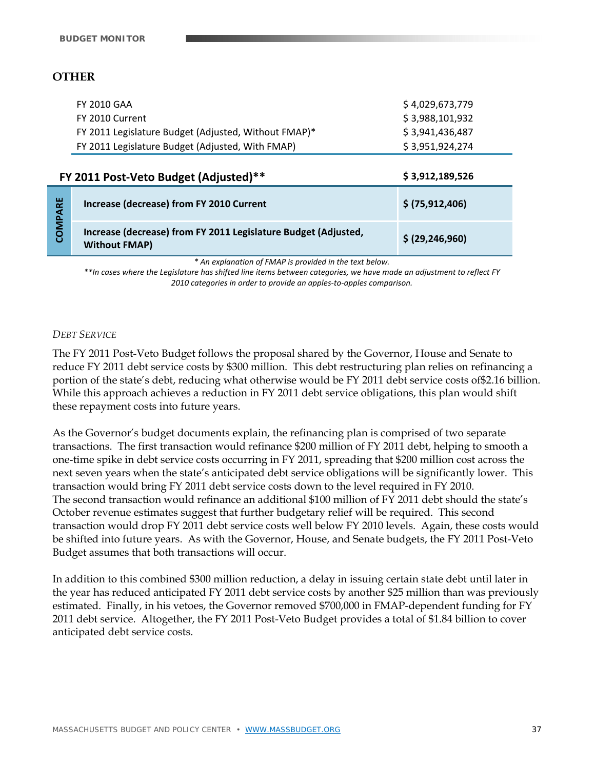# **OTHER**

| FY 2010 GAA                                          | \$4,029,673,779 |
|------------------------------------------------------|-----------------|
| FY 2010 Current                                      | \$3.988.101.932 |
| FY 2011 Legislature Budget (Adjusted, Without FMAP)* | \$3.941.436.487 |
| FY 2011 Legislature Budget (Adjusted, With FMAP)     | \$3,951,924,274 |

|                | FY 2011 Post-Veto Budget (Adjusted)**                                                  | \$3,912,189,526   |  |  |
|----------------|----------------------------------------------------------------------------------------|-------------------|--|--|
| <b>COMPARE</b> | Increase (decrease) from FY 2010 Current                                               | \$ (75,912,406)   |  |  |
|                | Increase (decrease) from FY 2011 Legislature Budget (Adjusted,<br><b>Without FMAP)</b> | \$ (29, 246, 960) |  |  |

*\* An explanation of FMAP is provided in the text below.* 

\*\*In cases where the Legislature has shifted line items between categories, we have made an adjustment to reflect FY *2010 categories in order to provide an apples‐to‐apples comparison.*

#### *DEBT SERVICE*

The FY 2011 Post-Veto Budget follows the proposal shared by the Governor, House and Senate to reduce FY 2011 debt service costs by \$300 million. This debt restructuring plan relies on refinancing a portion of the state's debt, reducing what otherwise would be FY 2011 debt service costs of\$2.16 billion. While this approach achieves a reduction in FY 2011 debt service obligations, this plan would shift these repayment costs into future years.

As the Governor's budget documents explain, the refinancing plan is comprised of two separate transactions. The first transaction would refinance \$200 million of FY 2011 debt, helping to smooth a one-time spike in debt service costs occurring in FY 2011, spreading that \$200 million cost across the next seven years when the state's anticipated debt service obligations will be significantly lower. This transaction would bring FY 2011 debt service costs down to the level required in FY 2010. The second transaction would refinance an additional \$100 million of FY 2011 debt should the state's October revenue estimates suggest that further budgetary relief will be required. This second transaction would drop FY 2011 debt service costs well below FY 2010 levels. Again, these costs would be shifted into future years. As with the Governor, House, and Senate budgets, the FY 2011 Post-Veto Budget assumes that both transactions will occur.

In addition to this combined \$300 million reduction, a delay in issuing certain state debt until later in the year has reduced anticipated FY 2011 debt service costs by another \$25 million than was previously estimated. Finally, in his vetoes, the Governor removed \$700,000 in FMAP-dependent funding for FY 2011 debt service. Altogether, the FY 2011 Post-Veto Budget provides a total of \$1.84 billion to cover anticipated debt service costs.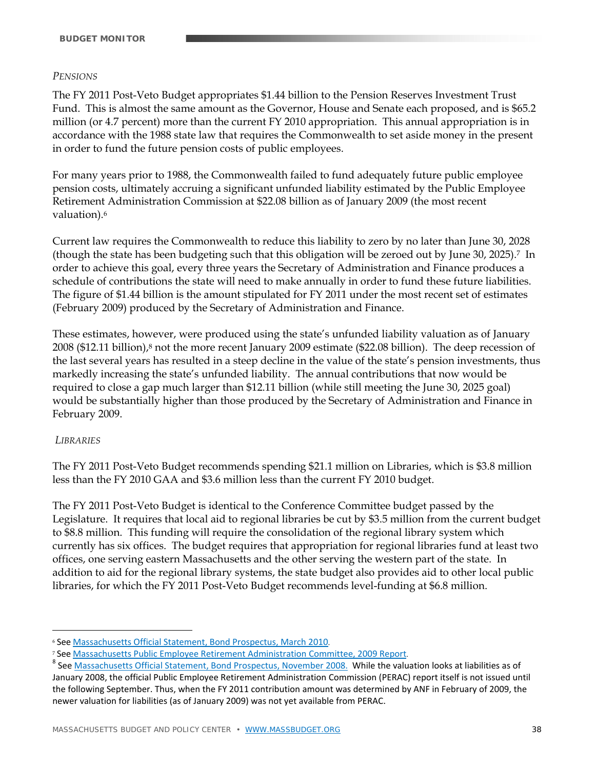#### *PENSIONS*

The FY 2011 Post-Veto Budget appropriates \$1.44 billion to the Pension Reserves Investment Trust Fund. This is almost the same amount as the Governor, House and Senate each proposed, and is \$65.2 million (or 4.7 percent) more than the current FY 2010 appropriation. This annual appropriation is in accordance with the 1988 state law that requires the Commonwealth to set aside money in the present in order to fund the future pension costs of public employees.

For many years prior to 1988, the Commonwealth failed to fund adequately future public employee pension costs, ultimately accruing a significant unfunded liability estimated by the Public Employee Retirement Administration Commission at \$22.08 billion as of January 2009 (the most recent valuation).6

Current law requires the Commonwealth to reduce this liability to zero by no later than June 30, 2028 (though the state has been budgeting such that this obligation will be zeroed out by June 30, 2025).7 In order to achieve this goal, every three years the Secretary of Administration and Finance produces a schedule of contributions the state will need to make annually in order to fund these future liabilities. The figure of \$1.44 billion is the amount stipulated for FY 2011 under the most recent set of estimates (February 2009) produced by the Secretary of Administration and Finance.

These estimates, however, were produced using the state's unfunded liability valuation as of January 2008 (\$12.11 billion),<sup>8</sup> not the more recent January 2009 estimate (\$22.08 billion). The deep recession of the last several years has resulted in a steep decline in the value of the state's pension investments, thus markedly increasing the state's unfunded liability. The annual contributions that now would be required to close a gap much larger than \$12.11 billion (while still meeting the June 30, 2025 goal) would be substantially higher than those produced by the Secretary of Administration and Finance in February 2009.

#### *LIBRARIES*

<u>.</u>

The FY 2011 Post-Veto Budget recommends spending \$21.1 million on Libraries, which is \$3.8 million less than the FY 2010 GAA and \$3.6 million less than the current FY 2010 budget.

The FY 2011 Post-Veto Budget is identical to the Conference Committee budget passed by the Legislature. It requires that local aid to regional libraries be cut by \$3.5 million from the current budget to \$8.8 million. This funding will require the consolidation of the regional library system which currently has six offices. The budget requires that appropriation for regional libraries fund at least two offices, one serving eastern Massachusetts and the other serving the western part of the state. In addition to aid for the regional library systems, the state budget also provides aid to other local public libraries, for which the FY 2011 Post-Veto Budget recommends level-funding at \$6.8 million.

<sup>6</sup> See Massachusetts Official Statement, Bond Prospectus, March 2010.

<sup>&</sup>lt;sup>7</sup> See <u>Massachusetts Public Employee Retirement Administration Committee, 2009 Report.<br><sup>8</sup> See Massachusetts Official Statement, Bond Prospectus, November 2008. While the valuation looks at liabilities as of</u>

January 2008, the official Public Employee Retirement Administration Commission (PERAC) report itself is not issued until the following September. Thus, when the FY 2011 contribution amount was determined by ANF in February of 2009, the newer valuation for liabilities (as of January 2009) was not yet available from PERAC.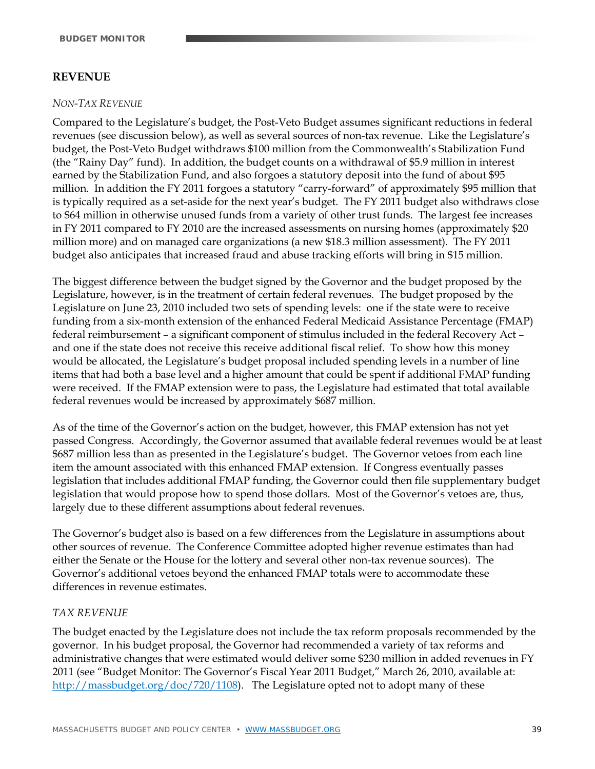# **REVENUE**

#### *NON-TAX REVENUE*

Compared to the Legislature's budget, the Post-Veto Budget assumes significant reductions in federal revenues (see discussion below), as well as several sources of non-tax revenue. Like the Legislature's budget, the Post-Veto Budget withdraws \$100 million from the Commonwealth's Stabilization Fund (the "Rainy Day" fund). In addition, the budget counts on a withdrawal of \$5.9 million in interest earned by the Stabilization Fund, and also forgoes a statutory deposit into the fund of about \$95 million. In addition the FY 2011 forgoes a statutory "carry-forward" of approximately \$95 million that is typically required as a set-aside for the next year's budget. The FY 2011 budget also withdraws close to \$64 million in otherwise unused funds from a variety of other trust funds. The largest fee increases in FY 2011 compared to FY 2010 are the increased assessments on nursing homes (approximately \$20 million more) and on managed care organizations (a new \$18.3 million assessment). The FY 2011 budget also anticipates that increased fraud and abuse tracking efforts will bring in \$15 million.

The biggest difference between the budget signed by the Governor and the budget proposed by the Legislature, however, is in the treatment of certain federal revenues. The budget proposed by the Legislature on June 23, 2010 included two sets of spending levels: one if the state were to receive funding from a six-month extension of the enhanced Federal Medicaid Assistance Percentage (FMAP) federal reimbursement – a significant component of stimulus included in the federal Recovery Act – and one if the state does not receive this receive additional fiscal relief. To show how this money would be allocated, the Legislature's budget proposal included spending levels in a number of line items that had both a base level and a higher amount that could be spent if additional FMAP funding were received. If the FMAP extension were to pass, the Legislature had estimated that total available federal revenues would be increased by approximately \$687 million.

As of the time of the Governor's action on the budget, however, this FMAP extension has not yet passed Congress. Accordingly, the Governor assumed that available federal revenues would be at least \$687 million less than as presented in the Legislature's budget. The Governor vetoes from each line item the amount associated with this enhanced FMAP extension. If Congress eventually passes legislation that includes additional FMAP funding, the Governor could then file supplementary budget legislation that would propose how to spend those dollars. Most of the Governor's vetoes are, thus, largely due to these different assumptions about federal revenues.

The Governor's budget also is based on a few differences from the Legislature in assumptions about other sources of revenue. The Conference Committee adopted higher revenue estimates than had either the Senate or the House for the lottery and several other non-tax revenue sources). The Governor's additional vetoes beyond the enhanced FMAP totals were to accommodate these differences in revenue estimates.

#### *TAX REVENUE*

The budget enacted by the Legislature does not include the tax reform proposals recommended by the governor. In his budget proposal, the Governor had recommended a variety of tax reforms and administrative changes that were estimated would deliver some \$230 million in added revenues in FY 2011 (see "Budget Monitor: The Governor's Fiscal Year 2011 Budget," March 26, 2010, available at: http://massbudget.org/doc/720/1108). The Legislature opted not to adopt many of these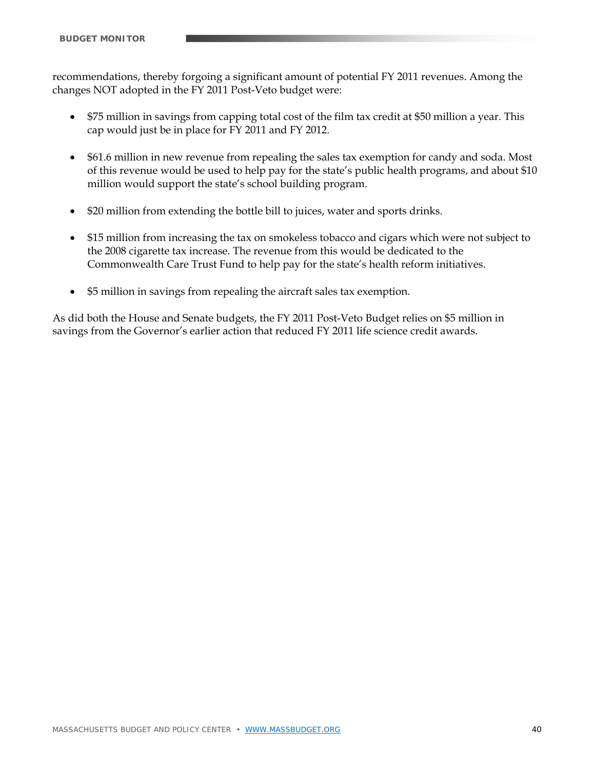recommendations, thereby forgoing a significant amount of potential FY 2011 revenues. Among the changes NOT adopted in the FY 2011 Post-Veto budget were:

- \$75 million in savings from capping total cost of the film tax credit at \$50 million a year. This cap would just be in place for FY 2011 and FY 2012.
- \$61.6 million in new revenue from repealing the sales tax exemption for candy and soda. Most of this revenue would be used to help pay for the state's public health programs, and about \$10 million would support the state's school building program.
- \$20 million from extending the bottle bill to juices, water and sports drinks.
- \$15 million from increasing the tax on smokeless tobacco and cigars which were not subject to the 2008 cigarette tax increase. The revenue from this would be dedicated to the Commonwealth Care Trust Fund to help pay for the state's health reform initiatives.
- \$5 million in savings from repealing the aircraft sales tax exemption.

As did both the House and Senate budgets, the FY 2011 Post-Veto Budget relies on \$5 million in savings from the Governor's earlier action that reduced FY 2011 life science credit awards.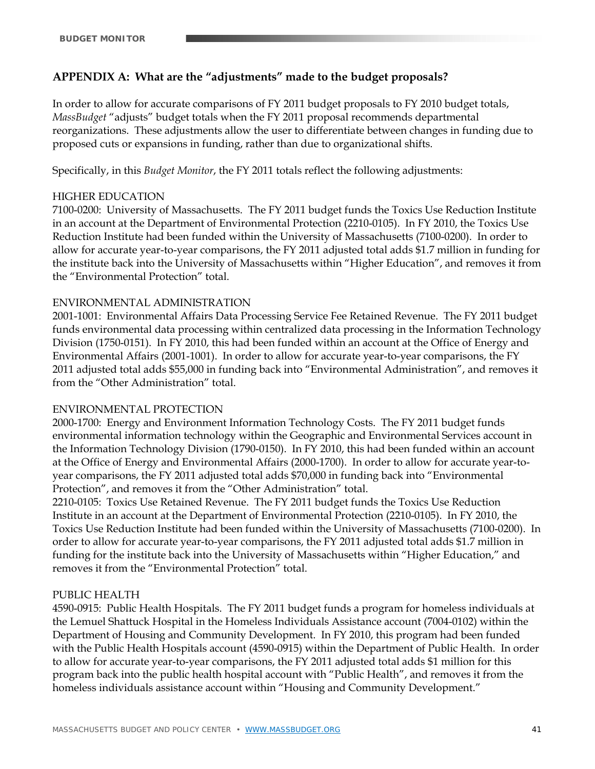# **APPENDIX A: What are the "adjustments" made to the budget proposals?**

In order to allow for accurate comparisons of FY 2011 budget proposals to FY 2010 budget totals, *MassBudget* "adjusts" budget totals when the FY 2011 proposal recommends departmental reorganizations. These adjustments allow the user to differentiate between changes in funding due to proposed cuts or expansions in funding, rather than due to organizational shifts.

Specifically, in this *Budget Monitor*, the FY 2011 totals reflect the following adjustments:

#### HIGHER EDUCATION

7100-0200: University of Massachusetts. The FY 2011 budget funds the Toxics Use Reduction Institute in an account at the Department of Environmental Protection (2210-0105). In FY 2010, the Toxics Use Reduction Institute had been funded within the University of Massachusetts (7100-0200). In order to allow for accurate year-to-year comparisons, the FY 2011 adjusted total adds \$1.7 million in funding for the institute back into the University of Massachusetts within "Higher Education", and removes it from the "Environmental Protection" total.

#### ENVIRONMENTAL ADMINISTRATION

2001-1001: Environmental Affairs Data Processing Service Fee Retained Revenue. The FY 2011 budget funds environmental data processing within centralized data processing in the Information Technology Division (1750-0151). In FY 2010, this had been funded within an account at the Office of Energy and Environmental Affairs (2001-1001). In order to allow for accurate year-to-year comparisons, the FY 2011 adjusted total adds \$55,000 in funding back into "Environmental Administration", and removes it from the "Other Administration" total.

#### ENVIRONMENTAL PROTECTION

2000-1700: Energy and Environment Information Technology Costs. The FY 2011 budget funds environmental information technology within the Geographic and Environmental Services account in the Information Technology Division (1790-0150). In FY 2010, this had been funded within an account at the Office of Energy and Environmental Affairs (2000-1700). In order to allow for accurate year-toyear comparisons, the FY 2011 adjusted total adds \$70,000 in funding back into "Environmental Protection", and removes it from the "Other Administration" total.

2210-0105: Toxics Use Retained Revenue. The FY 2011 budget funds the Toxics Use Reduction Institute in an account at the Department of Environmental Protection (2210-0105). In FY 2010, the Toxics Use Reduction Institute had been funded within the University of Massachusetts (7100-0200). In order to allow for accurate year-to-year comparisons, the FY 2011 adjusted total adds \$1.7 million in funding for the institute back into the University of Massachusetts within "Higher Education," and removes it from the "Environmental Protection" total.

#### PUBLIC HEALTH

4590-0915: Public Health Hospitals. The FY 2011 budget funds a program for homeless individuals at the Lemuel Shattuck Hospital in the Homeless Individuals Assistance account (7004-0102) within the Department of Housing and Community Development. In FY 2010, this program had been funded with the Public Health Hospitals account (4590-0915) within the Department of Public Health. In order to allow for accurate year-to-year comparisons, the FY 2011 adjusted total adds \$1 million for this program back into the public health hospital account with "Public Health", and removes it from the homeless individuals assistance account within "Housing and Community Development."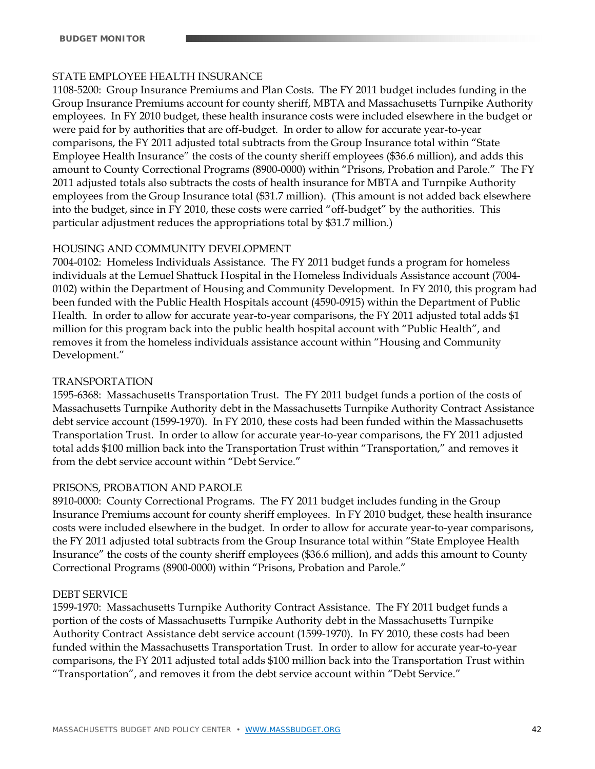#### STATE EMPLOYEE HEALTH INSURANCE

1108-5200: Group Insurance Premiums and Plan Costs. The FY 2011 budget includes funding in the Group Insurance Premiums account for county sheriff, MBTA and Massachusetts Turnpike Authority employees. In FY 2010 budget, these health insurance costs were included elsewhere in the budget or were paid for by authorities that are off-budget. In order to allow for accurate year-to-year comparisons, the FY 2011 adjusted total subtracts from the Group Insurance total within "State Employee Health Insurance" the costs of the county sheriff employees (\$36.6 million), and adds this amount to County Correctional Programs (8900-0000) within "Prisons, Probation and Parole." The FY 2011 adjusted totals also subtracts the costs of health insurance for MBTA and Turnpike Authority employees from the Group Insurance total (\$31.7 million). (This amount is not added back elsewhere into the budget, since in FY 2010, these costs were carried "off-budget" by the authorities. This particular adjustment reduces the appropriations total by \$31.7 million.)

#### HOUSING AND COMMUNITY DEVELOPMENT

7004-0102: Homeless Individuals Assistance. The FY 2011 budget funds a program for homeless individuals at the Lemuel Shattuck Hospital in the Homeless Individuals Assistance account (7004- 0102) within the Department of Housing and Community Development. In FY 2010, this program had been funded with the Public Health Hospitals account (4590-0915) within the Department of Public Health. In order to allow for accurate year-to-year comparisons, the FY 2011 adjusted total adds \$1 million for this program back into the public health hospital account with "Public Health", and removes it from the homeless individuals assistance account within "Housing and Community Development."

#### TRANSPORTATION

1595-6368: Massachusetts Transportation Trust. The FY 2011 budget funds a portion of the costs of Massachusetts Turnpike Authority debt in the Massachusetts Turnpike Authority Contract Assistance debt service account (1599-1970). In FY 2010, these costs had been funded within the Massachusetts Transportation Trust. In order to allow for accurate year-to-year comparisons, the FY 2011 adjusted total adds \$100 million back into the Transportation Trust within "Transportation," and removes it from the debt service account within "Debt Service."

#### PRISONS, PROBATION AND PAROLE

8910-0000: County Correctional Programs. The FY 2011 budget includes funding in the Group Insurance Premiums account for county sheriff employees. In FY 2010 budget, these health insurance costs were included elsewhere in the budget. In order to allow for accurate year-to-year comparisons, the FY 2011 adjusted total subtracts from the Group Insurance total within "State Employee Health Insurance" the costs of the county sheriff employees (\$36.6 million), and adds this amount to County Correctional Programs (8900-0000) within "Prisons, Probation and Parole."

#### DEBT SERVICE

1599-1970: Massachusetts Turnpike Authority Contract Assistance. The FY 2011 budget funds a portion of the costs of Massachusetts Turnpike Authority debt in the Massachusetts Turnpike Authority Contract Assistance debt service account (1599-1970). In FY 2010, these costs had been funded within the Massachusetts Transportation Trust. In order to allow for accurate year-to-year comparisons, the FY 2011 adjusted total adds \$100 million back into the Transportation Trust within "Transportation", and removes it from the debt service account within "Debt Service."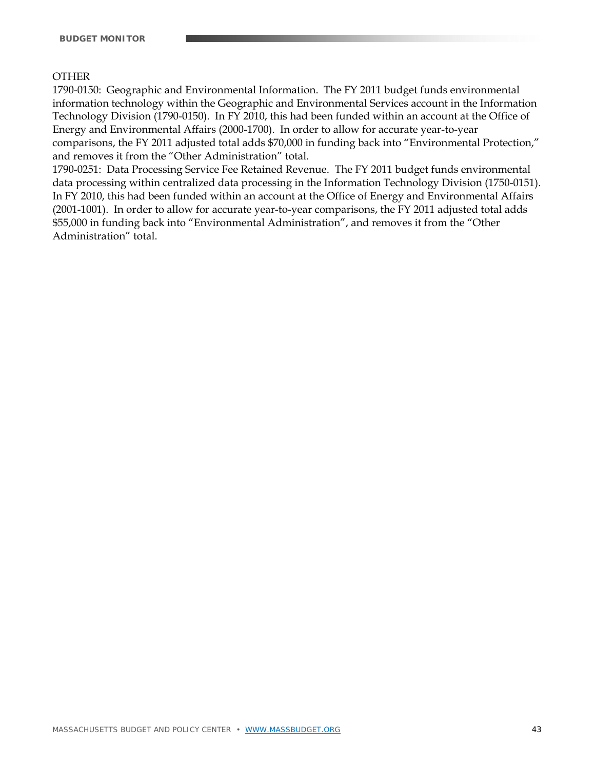#### **OTHER**

1790-0150: Geographic and Environmental Information. The FY 2011 budget funds environmental information technology within the Geographic and Environmental Services account in the Information Technology Division (1790-0150). In FY 2010, this had been funded within an account at the Office of Energy and Environmental Affairs (2000-1700). In order to allow for accurate year-to-year comparisons, the FY 2011 adjusted total adds \$70,000 in funding back into "Environmental Protection," and removes it from the "Other Administration" total.

1790-0251: Data Processing Service Fee Retained Revenue. The FY 2011 budget funds environmental data processing within centralized data processing in the Information Technology Division (1750-0151). In FY 2010, this had been funded within an account at the Office of Energy and Environmental Affairs (2001-1001). In order to allow for accurate year-to-year comparisons, the FY 2011 adjusted total adds \$55,000 in funding back into "Environmental Administration", and removes it from the "Other Administration" total.